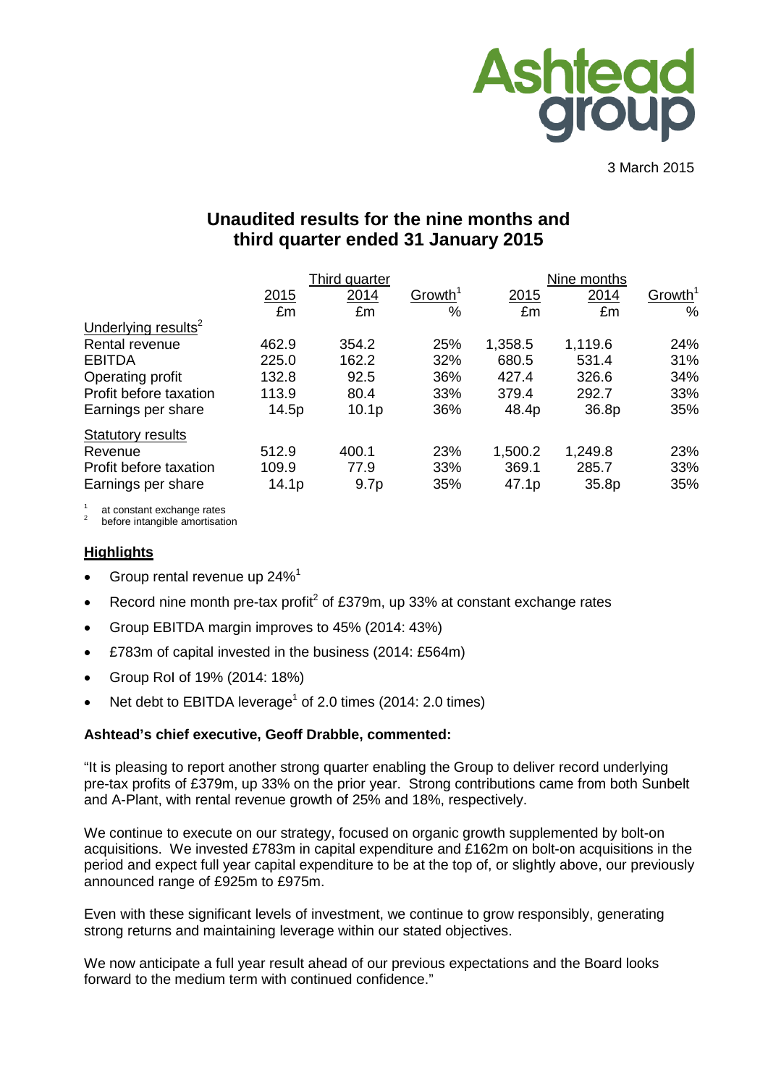

3 March 2015

# **Unaudited results for the nine months and third quarter ended 31 January 2015**

|                                 |                   | Third quarter     |                     |         | Nine months |                     |  |  |
|---------------------------------|-------------------|-------------------|---------------------|---------|-------------|---------------------|--|--|
|                                 | 2015              | 2014              | Growth <sup>1</sup> | 2015    | 2014        | Growth <sup>1</sup> |  |  |
|                                 | £m                | £m                | %                   | £m      | £m          | $\%$                |  |  |
| Underlying results <sup>2</sup> |                   |                   |                     |         |             |                     |  |  |
| Rental revenue                  | 462.9             | 354.2             | 25%                 | 1,358.5 | 1,119.6     | 24%                 |  |  |
| <b>EBITDA</b>                   | 225.0             | 162.2             | 32%                 | 680.5   | 531.4       | 31%                 |  |  |
| Operating profit                | 132.8             | 92.5              | 36%                 | 427.4   | 326.6       | 34%                 |  |  |
| Profit before taxation          | 113.9             | 80.4              | 33%                 | 379.4   | 292.7       | 33%                 |  |  |
| Earnings per share              | 14.5p             | 10.1 <sub>p</sub> | 36%                 | 48.4p   | 36.8p       | 35%                 |  |  |
| <b>Statutory results</b>        |                   |                   |                     |         |             |                     |  |  |
| Revenue                         | 512.9             | 400.1             | 23%                 | 1,500.2 | 1,249.8     | 23%                 |  |  |
| Profit before taxation          | 109.9             | 77.9              | 33%                 | 369.1   | 285.7       | 33%                 |  |  |
| Earnings per share              | 14.1 <sub>p</sub> | 9.7 <sub>p</sub>  | 35%                 | 47.1p   | 35.8p       | 35%                 |  |  |

at constant exchange rates<br>before intangible amortisation

#### **Highlights**

- Group rental revenue up 24%<sup>1</sup>
- Record nine month pre-tax profit<sup>2</sup> of £379m, up 33% at constant exchange rates
- Group EBITDA margin improves to 45% (2014: 43%)
- £783m of capital invested in the business (2014: £564m)
- Group RoI of 19% (2014: 18%)
- Net debt to EBITDA leverage<sup>1</sup> of 2.0 times (2014: 2.0 times)

#### **Ashtead's chief executive, Geoff Drabble, commented:**

"It is pleasing to report another strong quarter enabling the Group to deliver record underlying pre-tax profits of £379m, up 33% on the prior year. Strong contributions came from both Sunbelt and A-Plant, with rental revenue growth of 25% and 18%, respectively.

We continue to execute on our strategy, focused on organic growth supplemented by bolt-on acquisitions. We invested £783m in capital expenditure and £162m on bolt-on acquisitions in the period and expect full year capital expenditure to be at the top of, or slightly above, our previously announced range of £925m to £975m.

Even with these significant levels of investment, we continue to grow responsibly, generating strong returns and maintaining leverage within our stated objectives.

We now anticipate a full year result ahead of our previous expectations and the Board looks forward to the medium term with continued confidence."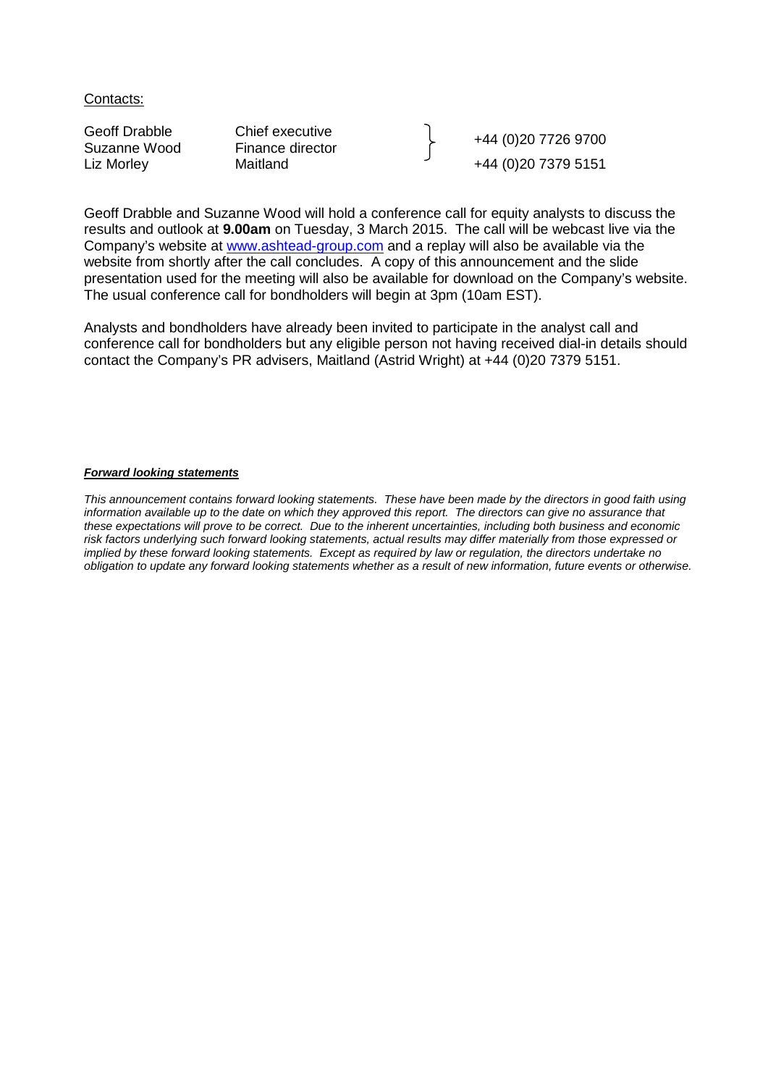Contacts:

Geoff Drabble Chief executive Chief executive<br>
Suzanne Wood Finance director Finance High Hatsup Hatsup Hatsup Hatsup Hatsup Hatsup Hatsup Hatsup Hatsup Hatsup Hatsup Hatsup Hatsup Hatsup Hatsup Hatsup Hatsup Hatsup Hatsup +44 (0)20 7379 5151

Geoff Drabble and Suzanne Wood will hold a conference call for equity analysts to discuss the results and outlook at **9.00am** on Tuesday, 3 March 2015. The call will be webcast live via the Company's website at [www.ashtead-group.com](http://www.ashtead-group.com/) and a replay will also be available via the website from shortly after the call concludes. A copy of this announcement and the slide presentation used for the meeting will also be available for download on the Company's website. The usual conference call for bondholders will begin at 3pm (10am EST).

Analysts and bondholders have already been invited to participate in the analyst call and conference call for bondholders but any eligible person not having received dial-in details should contact the Company's PR advisers, Maitland (Astrid Wright) at +44 (0)20 7379 5151.

#### *Forward looking statements*

*This announcement contains forward looking statements. These have been made by the directors in good faith using*  information available up to the date on which they approved this report. The directors can give no assurance that *these expectations will prove to be correct. Due to the inherent uncertainties, including both business and economic risk factors underlying such forward looking statements, actual results may differ materially from those expressed or implied by these forward looking statements. Except as required by law or regulation, the directors undertake no obligation to update any forward looking statements whether as a result of new information, future events or otherwise.*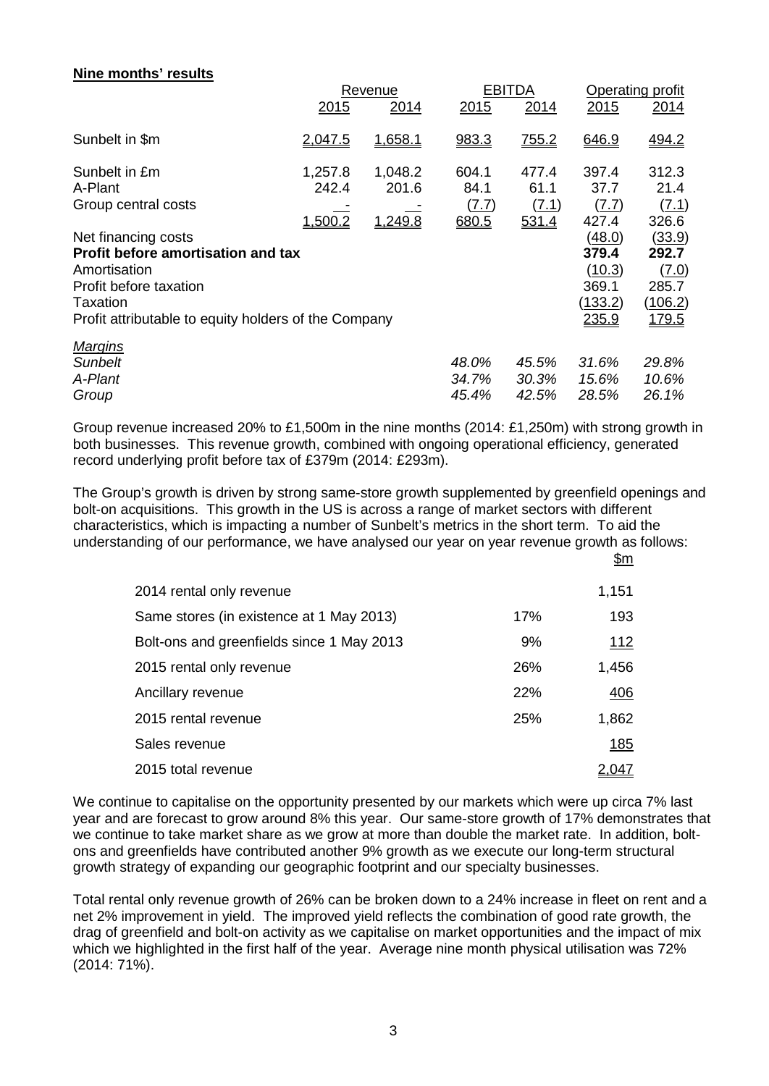# **Nine months' results**

|                                                                                                                                                                                | Revenue                     |                             |                                        | <b>EBITDA</b>                   | Operating profit                                       |                                                       |  |
|--------------------------------------------------------------------------------------------------------------------------------------------------------------------------------|-----------------------------|-----------------------------|----------------------------------------|---------------------------------|--------------------------------------------------------|-------------------------------------------------------|--|
|                                                                                                                                                                                | 2015                        | 2014                        | 2015                                   | 2014                            | 2015                                                   | 2014                                                  |  |
| Sunbelt in \$m                                                                                                                                                                 | 2.047.5                     | 1,658.1                     | 983.3                                  | 755.2                           | 646.9                                                  | 494.2                                                 |  |
| Sunbelt in £m<br>A-Plant<br>Group central costs                                                                                                                                | 1,257.8<br>242.4<br>1,500.2 | 1,048.2<br>201.6<br>1,249.8 | 604.1<br>84.1<br><u>(7.7)</u><br>680.5 | 477.4<br>61.1<br>(7.1)<br>531.4 | 397.4<br>37.7<br>(7.7)<br>427.4                        | 312.3<br>21.4<br>(7.1)<br>326.6                       |  |
| Net financing costs<br><b>Profit before amortisation and tax</b><br>Amortisation<br>Profit before taxation<br>Taxation<br>Profit attributable to equity holders of the Company |                             |                             |                                        |                                 | (48.0)<br>379.4<br>(10.3)<br>369.1<br>(133.2)<br>235.9 | (33.9)<br>292.7<br>(7.0)<br>285.7<br>(106.2)<br>179.5 |  |
| <b>Margins</b><br>Sunbelt<br>A-Plant<br>Group                                                                                                                                  |                             |                             | 48.0%<br>34.7%<br>45.4%                | 45.5%<br>30.3%<br>42.5%         | 31.6%<br>15.6%<br>28.5%                                | 29.8%<br>10.6%<br>26.1%                               |  |

Group revenue increased 20% to £1,500m in the nine months (2014: £1,250m) with strong growth in both businesses. This revenue growth, combined with ongoing operational efficiency, generated record underlying profit before tax of £379m (2014: £293m).

The Group's growth is driven by strong same-store growth supplemented by greenfield openings and bolt-on acquisitions. This growth in the US is across a range of market sectors with different characteristics, which is impacting a number of Sunbelt's metrics in the short term. To aid the understanding of our performance, we have analysed our year on year revenue growth as follows: \$m

| 2014 rental only revenue                  |     | 1,151       |
|-------------------------------------------|-----|-------------|
| Same stores (in existence at 1 May 2013)  | 17% | 193         |
| Bolt-ons and greenfields since 1 May 2013 | 9%  | <u> 112</u> |
| 2015 rental only revenue                  | 26% | 1,456       |
| Ancillary revenue                         | 22% | 406         |
| 2015 rental revenue                       | 25% | 1,862       |
| Sales revenue                             |     | 185         |
| 2015 total revenue                        |     | : 047       |

We continue to capitalise on the opportunity presented by our markets which were up circa 7% last year and are forecast to grow around 8% this year. Our same-store growth of 17% demonstrates that we continue to take market share as we grow at more than double the market rate. In addition, boltons and greenfields have contributed another 9% growth as we execute our long-term structural growth strategy of expanding our geographic footprint and our specialty businesses.

Total rental only revenue growth of 26% can be broken down to a 24% increase in fleet on rent and a net 2% improvement in yield. The improved yield reflects the combination of good rate growth, the drag of greenfield and bolt-on activity as we capitalise on market opportunities and the impact of mix which we highlighted in the first half of the year. Average nine month physical utilisation was 72% (2014: 71%).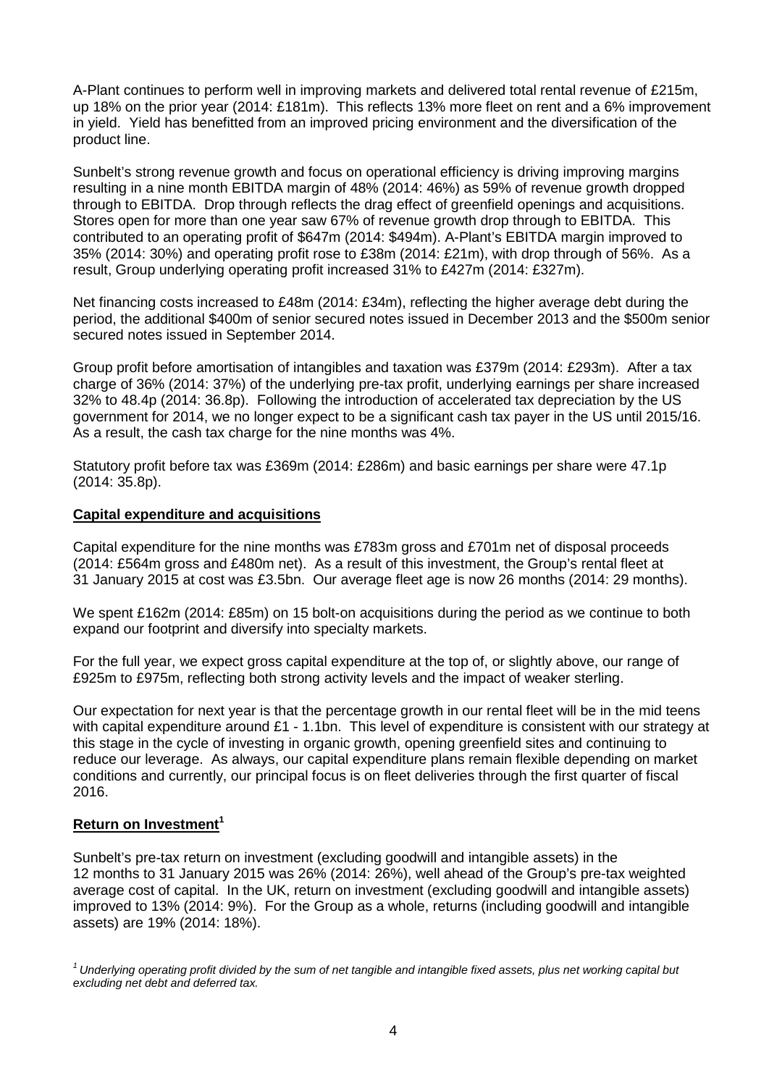A-Plant continues to perform well in improving markets and delivered total rental revenue of £215m, up 18% on the prior year (2014: £181m). This reflects 13% more fleet on rent and a 6% improvement in yield. Yield has benefitted from an improved pricing environment and the diversification of the product line.

Sunbelt's strong revenue growth and focus on operational efficiency is driving improving margins resulting in a nine month EBITDA margin of 48% (2014: 46%) as 59% of revenue growth dropped through to EBITDA. Drop through reflects the drag effect of greenfield openings and acquisitions. Stores open for more than one year saw 67% of revenue growth drop through to EBITDA. This contributed to an operating profit of \$647m (2014: \$494m). A-Plant's EBITDA margin improved to 35% (2014: 30%) and operating profit rose to £38m (2014: £21m), with drop through of 56%. As a result, Group underlying operating profit increased 31% to £427m (2014: £327m).

Net financing costs increased to £48m (2014: £34m), reflecting the higher average debt during the period, the additional \$400m of senior secured notes issued in December 2013 and the \$500m senior secured notes issued in September 2014.

Group profit before amortisation of intangibles and taxation was £379m (2014: £293m). After a tax charge of 36% (2014: 37%) of the underlying pre-tax profit, underlying earnings per share increased 32% to 48.4p (2014: 36.8p). Following the introduction of accelerated tax depreciation by the US government for 2014, we no longer expect to be a significant cash tax payer in the US until 2015/16. As a result, the cash tax charge for the nine months was 4%.

Statutory profit before tax was £369m (2014: £286m) and basic earnings per share were 47.1p (2014: 35.8p).

### **Capital expenditure and acquisitions**

Capital expenditure for the nine months was £783m gross and £701m net of disposal proceeds (2014: £564m gross and £480m net). As a result of this investment, the Group's rental fleet at 31 January 2015 at cost was £3.5bn. Our average fleet age is now 26 months (2014: 29 months).

We spent £162m (2014: £85m) on 15 bolt-on acquisitions during the period as we continue to both expand our footprint and diversify into specialty markets.

For the full year, we expect gross capital expenditure at the top of, or slightly above, our range of £925m to £975m, reflecting both strong activity levels and the impact of weaker sterling.

Our expectation for next year is that the percentage growth in our rental fleet will be in the mid teens with capital expenditure around £1 - 1.1bn. This level of expenditure is consistent with our strategy at this stage in the cycle of investing in organic growth, opening greenfield sites and continuing to reduce our leverage. As always, our capital expenditure plans remain flexible depending on market conditions and currently, our principal focus is on fleet deliveries through the first quarter of fiscal 2016.

## **Return on Investment<sup>1</sup>**

Sunbelt's pre-tax return on investment (excluding goodwill and intangible assets) in the 12 months to 31 January 2015 was 26% (2014: 26%), well ahead of the Group's pre-tax weighted average cost of capital. In the UK, return on investment (excluding goodwill and intangible assets) improved to 13% (2014: 9%). For the Group as a whole, returns (including goodwill and intangible assets) are 19% (2014: 18%).

*<sup>1</sup> Underlying operating profit divided by the sum of net tangible and intangible fixed assets, plus net working capital but excluding net debt and deferred tax.*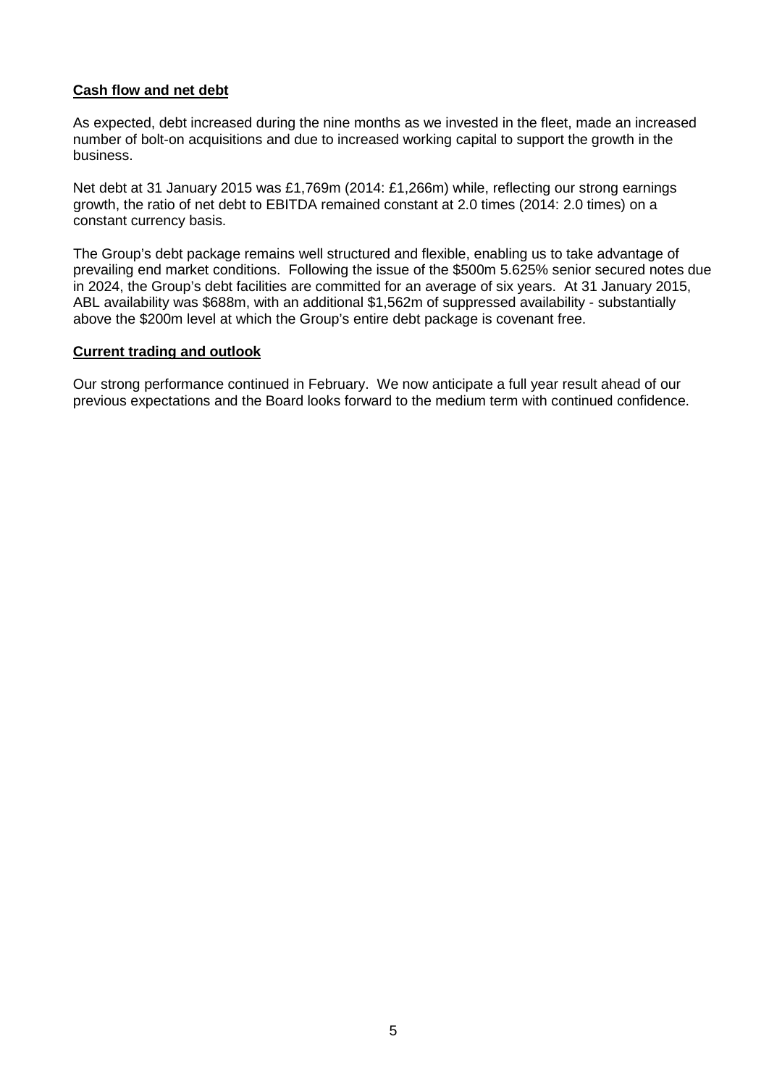# **Cash flow and net debt**

As expected, debt increased during the nine months as we invested in the fleet, made an increased number of bolt-on acquisitions and due to increased working capital to support the growth in the business.

Net debt at 31 January 2015 was £1,769m (2014: £1,266m) while, reflecting our strong earnings growth, the ratio of net debt to EBITDA remained constant at 2.0 times (2014: 2.0 times) on a constant currency basis.

The Group's debt package remains well structured and flexible, enabling us to take advantage of prevailing end market conditions. Following the issue of the \$500m 5.625% senior secured notes due in 2024, the Group's debt facilities are committed for an average of six years. At 31 January 2015, ABL availability was \$688m, with an additional \$1,562m of suppressed availability - substantially above the \$200m level at which the Group's entire debt package is covenant free.

### **Current trading and outlook**

Our strong performance continued in February. We now anticipate a full year result ahead of our previous expectations and the Board looks forward to the medium term with continued confidence.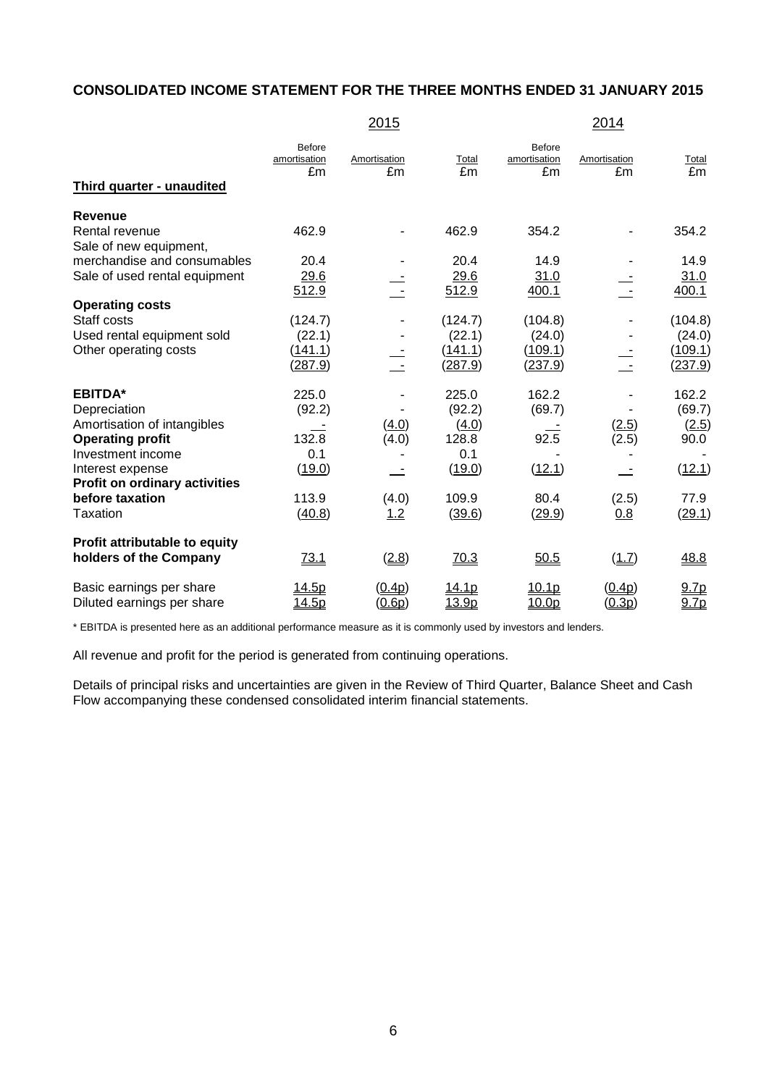# **CONSOLIDATED INCOME STATEMENT FOR THE THREE MONTHS ENDED 31 JANUARY 2015**

|                                                                                                                                                                           |                                           | 2015               |                                                    |                                         | 2014               |                                                |
|---------------------------------------------------------------------------------------------------------------------------------------------------------------------------|-------------------------------------------|--------------------|----------------------------------------------------|-----------------------------------------|--------------------|------------------------------------------------|
| Third quarter - unaudited                                                                                                                                                 | Before<br>amortisation<br>£m              | Amortisation<br>£m | Total<br>£m                                        | Before<br>amortisation<br>£m            | Amortisation<br>£m | Total<br>£m                                    |
| <b>Revenue</b><br>Rental revenue                                                                                                                                          | 462.9                                     |                    | 462.9                                              | 354.2                                   |                    | 354.2                                          |
| Sale of new equipment,<br>merchandise and consumables<br>Sale of used rental equipment                                                                                    | 20.4<br>29.6<br>512.9                     |                    | 20.4<br>29.6<br>512.9                              | 14.9<br>31.0<br>400.1                   |                    | 14.9<br>31.0<br>400.1                          |
| <b>Operating costs</b><br>Staff costs<br>Used rental equipment sold<br>Other operating costs                                                                              | (124.7)<br>(22.1)<br>(141.1)<br>(287.9)   |                    | (124.7)<br>(22.1)<br>(141.1)<br>(287.9)            | (104.8)<br>(24.0)<br>(109.1)<br>(237.9) |                    | (104.8)<br>(24.0)<br>(109.1)<br><u>(237.9)</u> |
| <b>EBITDA*</b><br>Depreciation<br>Amortisation of intangibles<br><b>Operating profit</b><br>Investment income<br>Interest expense<br><b>Profit on ordinary activities</b> | 225.0<br>(92.2)<br>132.8<br>0.1<br>(19.0) | (4.0)<br>(4.0)     | 225.0<br>(92.2)<br>(4.0)<br>128.8<br>0.1<br>(19.0) | 162.2<br>(69.7)<br>92.5<br>(12.1)       | (2.5)<br>(2.5)     | 162.2<br>(69.7)<br>(2.5)<br>90.0<br>(12.1)     |
| before taxation<br>Taxation                                                                                                                                               | 113.9<br>(40.8)                           | (4.0)<br>1.2       | 109.9<br>(39.6)                                    | 80.4<br>(29.9)                          | (2.5)<br>0.8       | 77.9<br>(29.1)                                 |
| Profit attributable to equity<br>holders of the Company                                                                                                                   | <u>73.1</u>                               | (2.8)              | 70.3                                               | 50.5                                    | (1.7)              | 48.8                                           |
| Basic earnings per share<br>Diluted earnings per share                                                                                                                    | <u>14.5p</u><br><u>14.5p</u>              | (0.4p)<br>(0.6p)   | <u> 14.1p</u><br>13.9p                             | 10.1p<br>10.0p                          | (0.4p)<br>(0.3p)   | 9.7 <sub>p</sub><br>9.7p                       |

\* EBITDA is presented here as an additional performance measure as it is commonly used by investors and lenders.

All revenue and profit for the period is generated from continuing operations.

Details of principal risks and uncertainties are given in the Review of Third Quarter, Balance Sheet and Cash Flow accompanying these condensed consolidated interim financial statements.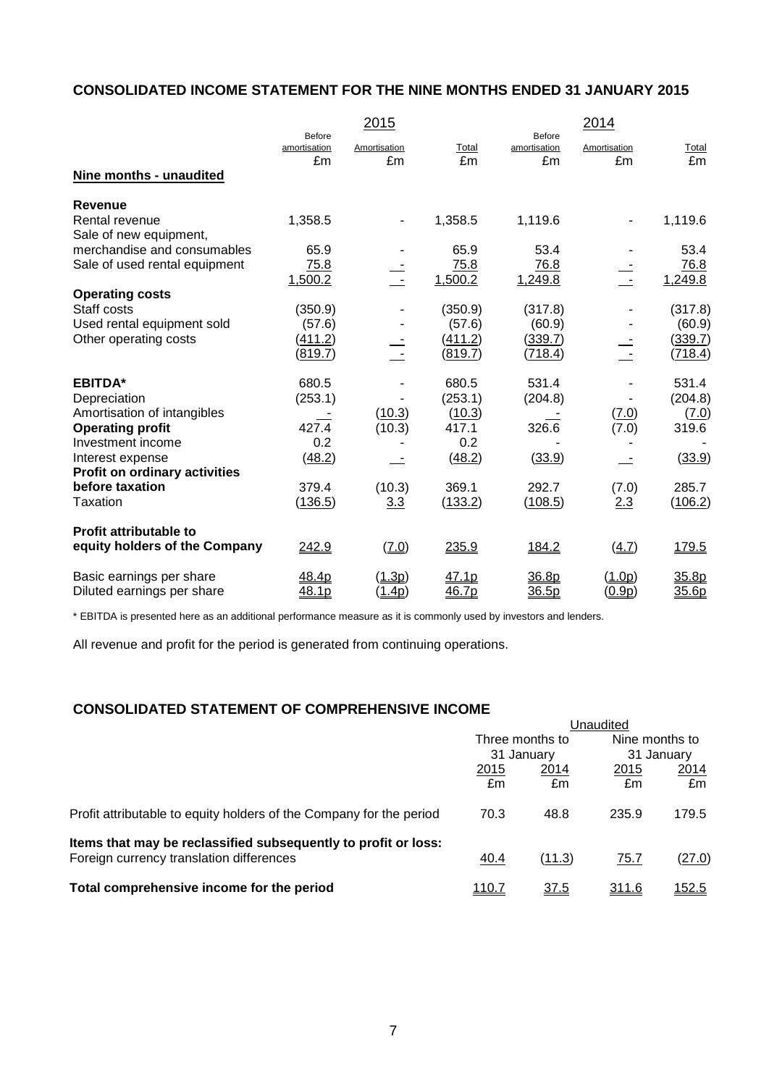# **CONSOLIDATED INCOME STATEMENT FOR THE NINE MONTHS ENDED 31 JANUARY 2015**

|                               |                        | 2015          |         |                        | 2014                     |         |
|-------------------------------|------------------------|---------------|---------|------------------------|--------------------------|---------|
|                               | Before<br>amortisation | Amortisation  | Total   | Before<br>amortisation | Amortisation             | Total   |
| Nine months - unaudited       | £m                     | £m            | £m      | £m                     | £m                       | £m      |
| <b>Revenue</b>                |                        |               |         |                        |                          |         |
| Rental revenue                | 1,358.5                |               | 1,358.5 | 1,119.6                | $\overline{\phantom{0}}$ | 1,119.6 |
| Sale of new equipment,        |                        |               |         |                        |                          |         |
| merchandise and consumables   | 65.9                   |               | 65.9    | 53.4                   |                          | 53.4    |
| Sale of used rental equipment | 75.8                   |               | 75.8    | 76.8                   |                          | 76.8    |
|                               | 1,500.2                | $\sim$        | 1,500.2 | 1,249.8                | $\sim$ $-$               | 1,249.8 |
| <b>Operating costs</b>        |                        |               |         |                        |                          |         |
| Staff costs                   | (350.9)                |               | (350.9) | (317.8)                |                          | (317.8) |
| Used rental equipment sold    | (57.6)                 |               | (57.6)  | (60.9)                 |                          | (60.9)  |
| Other operating costs         | (411.2)                |               | (411.2) | (339.7)                |                          | (339.7) |
|                               | (819.7)                |               | (819.7) | (718.4)                |                          | (718.4) |
| <b>EBITDA*</b>                | 680.5                  |               | 680.5   | 531.4                  |                          | 531.4   |
| Depreciation                  | (253.1)                |               | (253.1) | (204.8)                |                          | (204.8) |
| Amortisation of intangibles   |                        | (10.3)        | (10.3)  |                        | (7.0)                    | (7.0)   |
| <b>Operating profit</b>       | 427.4                  | (10.3)        | 417.1   | 326.6                  | (7.0)                    | 319.6   |
| Investment income             | 0.2                    |               | 0.2     |                        |                          |         |
| Interest expense              | (48.2)                 |               | (48.2)  | (33.9)                 |                          | (33.9)  |
| Profit on ordinary activities |                        |               |         |                        |                          |         |
| before taxation               | 379.4                  | (10.3)        | 369.1   | 292.7                  | (7.0)                    | 285.7   |
| Taxation                      | (136.5)                | 3.3           | (133.2) | (108.5)                | 2.3                      | (106.2) |
| <b>Profit attributable to</b> |                        |               |         |                        |                          |         |
| equity holders of the Company | 242.9                  | (7.0)         | 235.9   | 184.2                  | (4.7)                    | 179.5   |
| Basic earnings per share      | 48.4p                  | (1.3p)        | 47.1p   | 36.8p                  | (1.0p)                   | 35.8p   |
| Diluted earnings per share    | 48.1p                  | <u>(1.4p)</u> | 46.7p   | 36.5p                  | (0.9p)                   | 35.6p   |

\* EBITDA is presented here as an additional performance measure as it is commonly used by investors and lenders.

All revenue and profit for the period is generated from continuing operations.

# **CONSOLIDATED STATEMENT OF COMPREHENSIVE INCOME**

|               |             | Nine months to<br>31 January  |               |
|---------------|-------------|-------------------------------|---------------|
|               |             |                               |               |
| 2015          | 2014        | 2015                          | 2014          |
| £m            | £m          | £m                            | £m            |
| 70.3          | 48.8        | 235.9                         | 179.5         |
|               |             |                               |               |
| 40.4          | (11.3)      | 75.7                          | (27.0)        |
| <u> 110.7</u> | <u>37.5</u> | <u>311.6</u>                  | <u> 152.5</u> |
|               |             | Three months to<br>31 January | Unaudited     |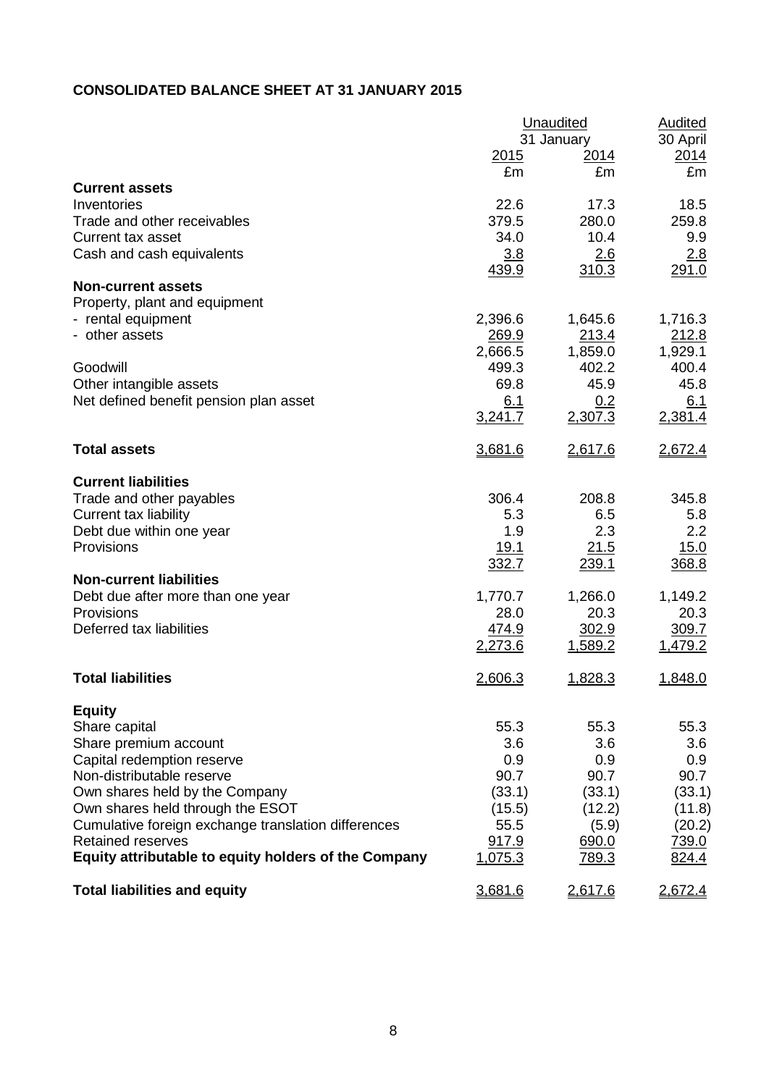# **CONSOLIDATED BALANCE SHEET AT 31 JANUARY 2015**

|                                                      |              | Unaudited      | <b>Audited</b> |  |  |
|------------------------------------------------------|--------------|----------------|----------------|--|--|
|                                                      |              | 31 January     | 30 April       |  |  |
|                                                      | <u> 2015</u> | <u> 2014 </u>  | 2014           |  |  |
|                                                      | £m           | £m             | £m             |  |  |
| <b>Current assets</b>                                |              |                |                |  |  |
| Inventories                                          | 22.6         | 17.3           | 18.5           |  |  |
| Trade and other receivables                          | 379.5        | 280.0          | 259.8          |  |  |
| <b>Current tax asset</b>                             | 34.0         | 10.4           | 9.9            |  |  |
| Cash and cash equivalents                            | 3.8          | 2.6            | 2.8            |  |  |
|                                                      | 439.9        | 310.3          | 291.0          |  |  |
| <b>Non-current assets</b>                            |              |                |                |  |  |
| Property, plant and equipment                        |              |                |                |  |  |
| - rental equipment                                   | 2,396.6      | 1,645.6        | 1,716.3        |  |  |
| - other assets                                       | <u>269.9</u> | 213.4          | 212.8          |  |  |
|                                                      | 2,666.5      | 1,859.0        | 1,929.1        |  |  |
| Goodwill                                             | 499.3        | 402.2          | 400.4          |  |  |
| Other intangible assets                              | 69.8         | 45.9           | 45.8           |  |  |
| Net defined benefit pension plan asset               | 6.1          | 0.2            | 6.1            |  |  |
|                                                      | 3,241.7      | 2,307.3        | 2,381.4        |  |  |
|                                                      |              |                |                |  |  |
| <b>Total assets</b>                                  | 3,681.6      | 2,617.6        | 2,672.4        |  |  |
| <b>Current liabilities</b>                           |              |                |                |  |  |
| Trade and other payables                             | 306.4        | 208.8          | 345.8          |  |  |
| <b>Current tax liability</b>                         | 5.3          | 6.5            | 5.8            |  |  |
| Debt due within one year                             | 1.9          | 2.3            | 2.2            |  |  |
| Provisions                                           | 19.1         | 21.5           | 15.0           |  |  |
|                                                      | 332.7        | 239.1          | 368.8          |  |  |
| <b>Non-current liabilities</b>                       |              |                |                |  |  |
| Debt due after more than one year                    | 1,770.7      | 1,266.0        | 1,149.2        |  |  |
| Provisions                                           | 28.0         | 20.3           | 20.3           |  |  |
| Deferred tax liabilities                             | 474.9        | 302.9          | 309.7          |  |  |
|                                                      | 2,273.6      | <u>1,589.2</u> | 1,479.2        |  |  |
|                                                      |              |                |                |  |  |
| <b>Total liabilities</b>                             | 2,606.3      | 1,828.3        | 1,848.0        |  |  |
| <b>Equity</b>                                        |              |                |                |  |  |
| Share capital                                        | 55.3         | 55.3           | 55.3           |  |  |
| Share premium account                                | 3.6          | 3.6            | 3.6            |  |  |
| Capital redemption reserve                           | 0.9          | 0.9            | 0.9            |  |  |
| Non-distributable reserve                            | 90.7         | 90.7           | 90.7           |  |  |
| Own shares held by the Company                       | (33.1)       | (33.1)         | (33.1)         |  |  |
| Own shares held through the ESOT                     | (15.5)       | (12.2)         | (11.8)         |  |  |
| Cumulative foreign exchange translation differences  | 55.5         | (5.9)          | (20.2)         |  |  |
| <b>Retained reserves</b>                             | 917.9        | 690.0          | 739.0          |  |  |
| Equity attributable to equity holders of the Company | 1,075.3      | <u>789.3</u>   | 824.4          |  |  |
|                                                      |              |                |                |  |  |
| <b>Total liabilities and equity</b>                  | 3,681.6      | 2,617.6        | 2,672.4        |  |  |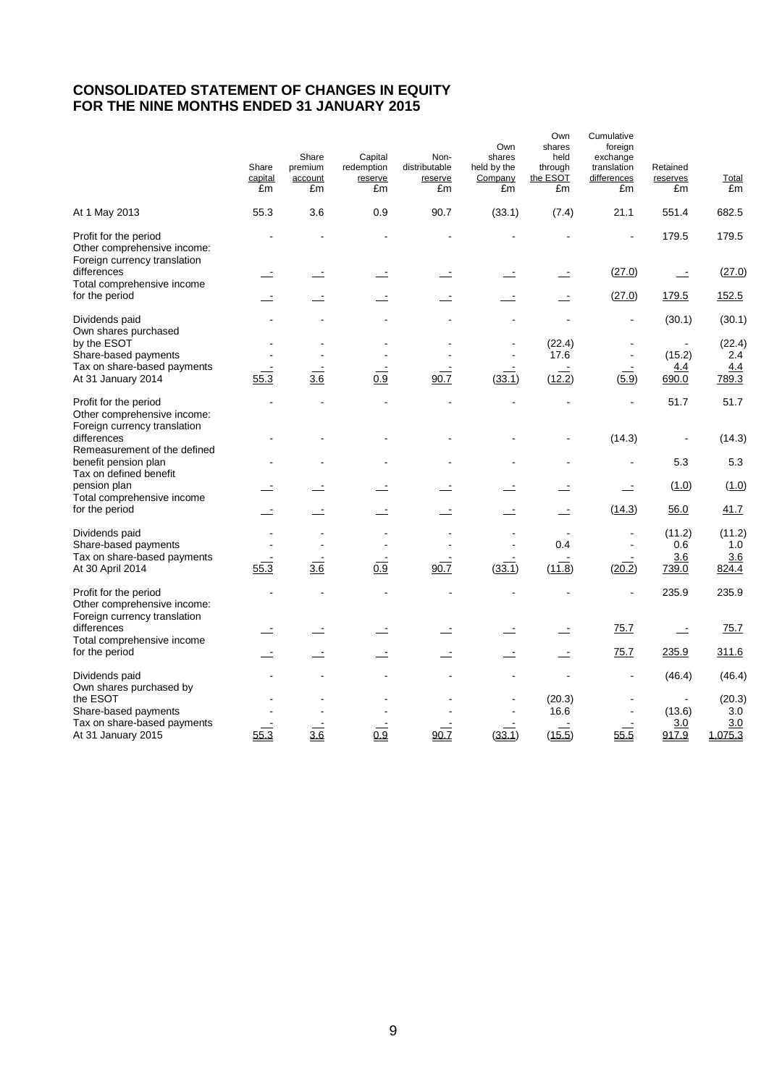## **CONSOLIDATED STATEMENT OF CHANGES IN EQUITY FOR THE NINE MONTHS ENDED 31 JANUARY 2015**

|                                                                                      | Share<br>capital<br>£m | Share<br>premium<br>account<br>£m | Capital<br>redemption<br>reserve<br>£m | Non-<br>distributable<br>reserve<br>£m | Own<br>shares<br>held by the<br>Company<br>£m | Own<br>shares<br>held<br>through<br>the ESOT<br>£m | Cumulative<br>foreign<br>exchange<br>translation<br>differences<br>£m | Retained<br>reserves<br>£m | Total<br>£m    |
|--------------------------------------------------------------------------------------|------------------------|-----------------------------------|----------------------------------------|----------------------------------------|-----------------------------------------------|----------------------------------------------------|-----------------------------------------------------------------------|----------------------------|----------------|
| At 1 May 2013                                                                        | 55.3                   | 3.6                               | 0.9                                    | 90.7                                   | (33.1)                                        | (7.4)                                              | 21.1                                                                  | 551.4                      | 682.5          |
| Profit for the period<br>Other comprehensive income:<br>Foreign currency translation |                        |                                   |                                        |                                        |                                               |                                                    | $\blacksquare$                                                        | 179.5                      | 179.5          |
| differences<br>Total comprehensive income                                            |                        |                                   |                                        |                                        |                                               |                                                    | (27.0)                                                                | $\equiv$                   | (27.0)         |
| for the period                                                                       |                        |                                   |                                        |                                        |                                               |                                                    | (27.0)                                                                | 179.5                      | 152.5          |
| Dividends paid<br>Own shares purchased                                               |                        |                                   |                                        |                                        |                                               |                                                    | $\ddot{\phantom{a}}$                                                  | (30.1)                     | (30.1)         |
| by the ESOT                                                                          |                        |                                   |                                        |                                        |                                               | (22.4)                                             |                                                                       |                            | (22.4)         |
| Share-based payments<br>Tax on share-based payments                                  |                        |                                   |                                        |                                        |                                               | 17.6                                               | $\blacksquare$                                                        | (15.2)<br>4.4              | 2.4<br>4.4     |
| At 31 January 2014                                                                   | 55.3                   | $\frac{3.6}{3.6}$                 | $\overline{0.9}$                       | 90.7                                   | (33.1)                                        | (12.2)                                             | (5.9)                                                                 | 690.0                      | 789.3          |
| Profit for the period<br>Other comprehensive income:<br>Foreign currency translation |                        |                                   |                                        |                                        |                                               | $\overline{a}$                                     | L,                                                                    | 51.7                       | 51.7           |
| differences                                                                          |                        |                                   |                                        |                                        |                                               |                                                    | (14.3)                                                                |                            | (14.3)         |
| Remeasurement of the defined<br>benefit pension plan<br>Tax on defined benefit       |                        |                                   |                                        |                                        |                                               |                                                    |                                                                       | 5.3                        | 5.3            |
| pension plan<br>Total comprehensive income                                           |                        |                                   |                                        |                                        |                                               |                                                    |                                                                       | (1.0)                      | (1.0)          |
| for the period                                                                       |                        |                                   |                                        |                                        |                                               |                                                    | (14.3)                                                                | 56.0                       | 41.7           |
| Dividends paid<br>Share-based payments                                               |                        |                                   |                                        |                                        |                                               | 0.4                                                |                                                                       | (11.2)<br>0.6              | (11.2)<br>1.0  |
| Tax on share-based payments<br>At 30 April 2014                                      | 55.3                   | 3.6                               | 0.9                                    | 90.7                                   | (33.1)                                        | (11.8)                                             | (20.2)                                                                | 3.6<br><u>739.0</u>        | 3.6<br>824.4   |
| Profit for the period<br>Other comprehensive income:<br>Foreign currency translation |                        |                                   |                                        |                                        |                                               |                                                    |                                                                       | 235.9                      | 235.9          |
| differences<br>Total comprehensive income                                            |                        |                                   |                                        |                                        |                                               |                                                    | 75.7                                                                  | $\overline{\phantom{a}}$   | 75.7           |
| for the period                                                                       |                        |                                   |                                        |                                        |                                               |                                                    | 75.7                                                                  | 235.9                      | 311.6          |
| Dividends paid<br>Own shares purchased by                                            |                        |                                   |                                        |                                        |                                               |                                                    |                                                                       | (46.4)                     | (46.4)         |
| the ESOT<br>Share-based payments                                                     |                        |                                   |                                        |                                        |                                               | (20.3)<br>16.6                                     |                                                                       | (13.6)                     | (20.3)<br>3.0  |
| Tax on share-based payments<br>At 31 January 2015                                    | 55.3                   | $\overline{3.6}$                  | 0.9                                    | 90.7                                   | (33.1)                                        | (15.5)                                             | 55.5                                                                  | 3.0<br>917.9               | 3.0<br>1,075.3 |
|                                                                                      |                        |                                   |                                        |                                        |                                               |                                                    |                                                                       |                            |                |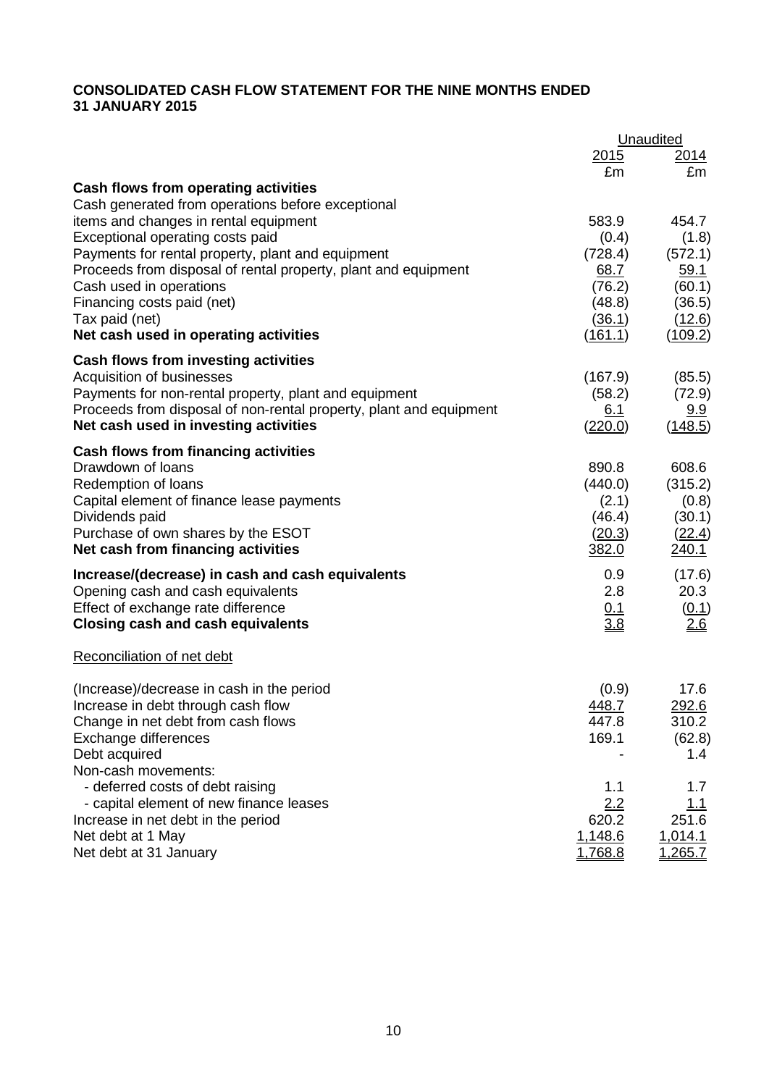# **CONSOLIDATED CASH FLOW STATEMENT FOR THE NINE MONTHS ENDED 31 JANUARY 2015**

|                                                                    |                    | Unaudited          |
|--------------------------------------------------------------------|--------------------|--------------------|
|                                                                    | 2015               | <u>2014</u>        |
| Cash flows from operating activities                               | £m                 | £m                 |
| Cash generated from operations before exceptional                  |                    |                    |
| items and changes in rental equipment                              | 583.9              | 454.7              |
| Exceptional operating costs paid                                   | (0.4)              | (1.8)              |
| Payments for rental property, plant and equipment                  | (728.4)            | (572.1)            |
| Proceeds from disposal of rental property, plant and equipment     | 68.7               | 59.1               |
| Cash used in operations                                            | (76.2)             | (60.1)             |
| Financing costs paid (net)                                         | (48.8)             | (36.5)             |
| Tax paid (net)                                                     | (36.1)             | (12.6)             |
| Net cash used in operating activities                              | (161.1)            | <u>(109.2)</u>     |
| Cash flows from investing activities                               |                    |                    |
| Acquisition of businesses                                          | (167.9)            | (85.5)             |
| Payments for non-rental property, plant and equipment              | (58.2)             | (72.9)             |
| Proceeds from disposal of non-rental property, plant and equipment | 6.1                | 9.9                |
| Net cash used in investing activities                              | (220.0)            | (148.5)            |
| Cash flows from financing activities                               |                    |                    |
| Drawdown of loans                                                  | 890.8              | 608.6              |
| Redemption of loans                                                | (440.0)            | (315.2)            |
| Capital element of finance lease payments                          | (2.1)              | (0.8)              |
| Dividends paid                                                     | (46.4)             | (30.1)             |
| Purchase of own shares by the ESOT                                 | (20.3)             | (22.4)             |
| Net cash from financing activities                                 | 382.0              | <u>240.1</u>       |
| Increase/(decrease) in cash and cash equivalents                   | 0.9                | (17.6)             |
| Opening cash and cash equivalents                                  | 2.8                | 20.3               |
| Effect of exchange rate difference                                 | 0.1                | (0.1)              |
| <b>Closing cash and cash equivalents</b>                           | 3.8                | 2.6                |
| Reconciliation of net debt                                         |                    |                    |
| (Increase)/decrease in cash in the period                          | (0.9)              | 17.6               |
| Increase in debt through cash flow                                 | 448.7              | 292.6              |
| Change in net debt from cash flows                                 | 447.8              | 310.2              |
| Exchange differences                                               | 169.1              | (62.8)             |
| Debt acquired                                                      |                    | 1.4                |
| Non-cash movements:                                                |                    |                    |
| - deferred costs of debt raising                                   | 1.1                | 1.7                |
| - capital element of new finance leases                            | 2.2                | <u> 1.1</u>        |
| Increase in net debt in the period                                 | 620.2              | 251.6              |
| Net debt at 1 May<br>Net debt at 31 January                        | 1,148.6<br>1,768.8 | 1,014.1<br>1,265.7 |
|                                                                    |                    |                    |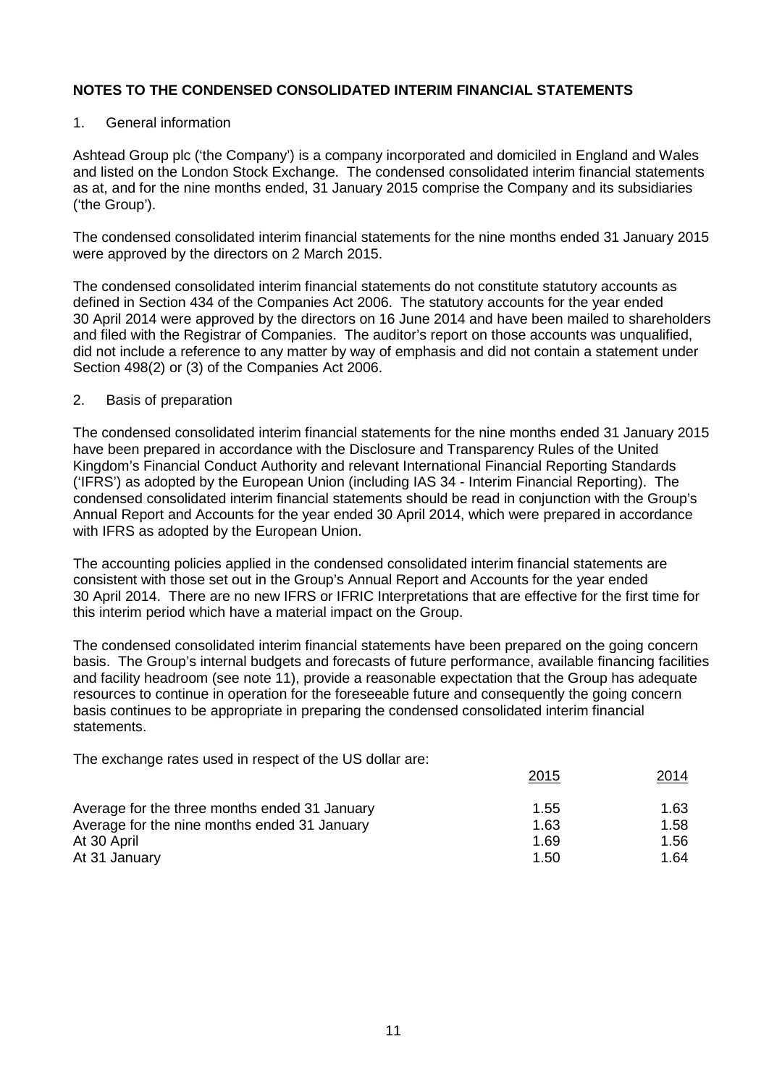### 1. General information

Ashtead Group plc ('the Company') is a company incorporated and domiciled in England and Wales and listed on the London Stock Exchange. The condensed consolidated interim financial statements as at, and for the nine months ended, 31 January 2015 comprise the Company and its subsidiaries ('the Group').

The condensed consolidated interim financial statements for the nine months ended 31 January 2015 were approved by the directors on 2 March 2015.

The condensed consolidated interim financial statements do not constitute statutory accounts as defined in Section 434 of the Companies Act 2006. The statutory accounts for the year ended 30 April 2014 were approved by the directors on 16 June 2014 and have been mailed to shareholders and filed with the Registrar of Companies. The auditor's report on those accounts was unqualified, did not include a reference to any matter by way of emphasis and did not contain a statement under Section 498(2) or (3) of the Companies Act 2006.

### 2. Basis of preparation

The condensed consolidated interim financial statements for the nine months ended 31 January 2015 have been prepared in accordance with the Disclosure and Transparency Rules of the United Kingdom's Financial Conduct Authority and relevant International Financial Reporting Standards ('IFRS') as adopted by the European Union (including IAS 34 - Interim Financial Reporting). The condensed consolidated interim financial statements should be read in conjunction with the Group's Annual Report and Accounts for the year ended 30 April 2014, which were prepared in accordance with IFRS as adopted by the European Union.

The accounting policies applied in the condensed consolidated interim financial statements are consistent with those set out in the Group's Annual Report and Accounts for the year ended 30 April 2014. There are no new IFRS or IFRIC Interpretations that are effective for the first time for this interim period which have a material impact on the Group.

The condensed consolidated interim financial statements have been prepared on the going concern basis. The Group's internal budgets and forecasts of future performance, available financing facilities and facility headroom (see note 11), provide a reasonable expectation that the Group has adequate resources to continue in operation for the foreseeable future and consequently the going concern basis continues to be appropriate in preparing the condensed consolidated interim financial statements.

The exchange rates used in respect of the US dollar are:

|                                               | 2015 | 2014 |
|-----------------------------------------------|------|------|
| Average for the three months ended 31 January | 1.55 | 1.63 |
| Average for the nine months ended 31 January  | 1.63 | 1.58 |
| At 30 April                                   | 1.69 | 1.56 |
| At 31 January                                 | 1.50 | 1.64 |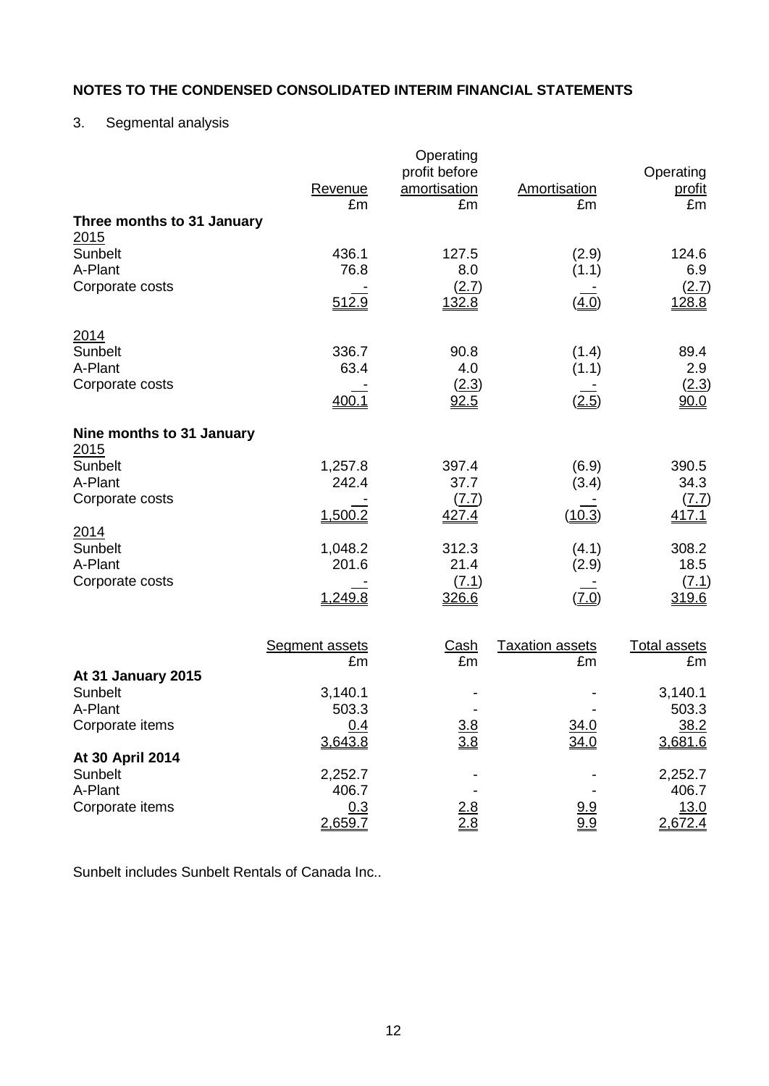# 3. Segmental analysis

|                                       | Revenue<br>£m               | Operating<br>profit before<br>amortisation<br>£m | Amortisation<br>£m           | Operating<br>profit<br>£m |
|---------------------------------------|-----------------------------|--------------------------------------------------|------------------------------|---------------------------|
| Three months to 31 January<br>2015    |                             |                                                  |                              |                           |
| Sunbelt<br>A-Plant<br>Corporate costs | 436.1<br>76.8               | 127.5<br>8.0<br>(2.7)                            | (2.9)<br>(1.1)               | 124.6<br>6.9<br>(2.7)     |
|                                       | 512.9                       | 132.8                                            | (4.0)                        | 128.8                     |
| 2014<br>Sunbelt<br>A-Plant            | 336.7<br>63.4               | 90.8<br>4.0                                      | (1.4)<br>(1.1)               | 89.4<br>2.9               |
| Corporate costs                       | 400.1                       | (2.3)<br>92.5                                    | (2.5)                        | (2.3)<br>90.0             |
| Nine months to 31 January<br>2015     |                             |                                                  |                              |                           |
| Sunbelt<br>A-Plant                    | 1,257.8<br>242.4            | 397.4<br>37.7                                    | (6.9)<br>(3.4)               | 390.5<br>34.3             |
| Corporate costs<br>2014               | 1,500.2                     | $(\underline{7}.\underline{7})$<br>427.4         | (10.3)                       | <u>(7.7)</u><br>417.1     |
| Sunbelt<br>A-Plant                    | 1,048.2<br>201.6            | 312.3<br>21.4                                    | (4.1)<br>(2.9)               | 308.2<br>18.5             |
| Corporate costs                       | 1,249.8                     | (7.1)<br>326.6                                   | (7.0)                        | (7.1)<br>319.6            |
|                                       | <b>Segment assets</b><br>£m | <u>Cash</u><br>£m                                | <b>Taxation assets</b><br>£m | <b>Total assets</b><br>£m |
| At 31 January 2015<br>Sunbelt         | 3,140.1                     |                                                  |                              | 3,140.1                   |
| A-Plant                               | 503.3                       |                                                  |                              | 503.3                     |
| Corporate items                       | 0.4<br>3,643.8              | $\frac{3.8}{3.8}$                                | 34.0<br>34.0                 | 38.2<br>3,681.6           |
| At 30 April 2014<br>Sunbelt           | 2,252.7                     |                                                  |                              | 2,252.7                   |
| A-Plant<br>Corporate items            | 406.7<br>0.3<br>2,659.7     | $\frac{2.8}{2.8}$                                | $\frac{9.9}{9.9}$            | 406.7<br>13.0<br>2,672.4  |

Sunbelt includes Sunbelt Rentals of Canada Inc..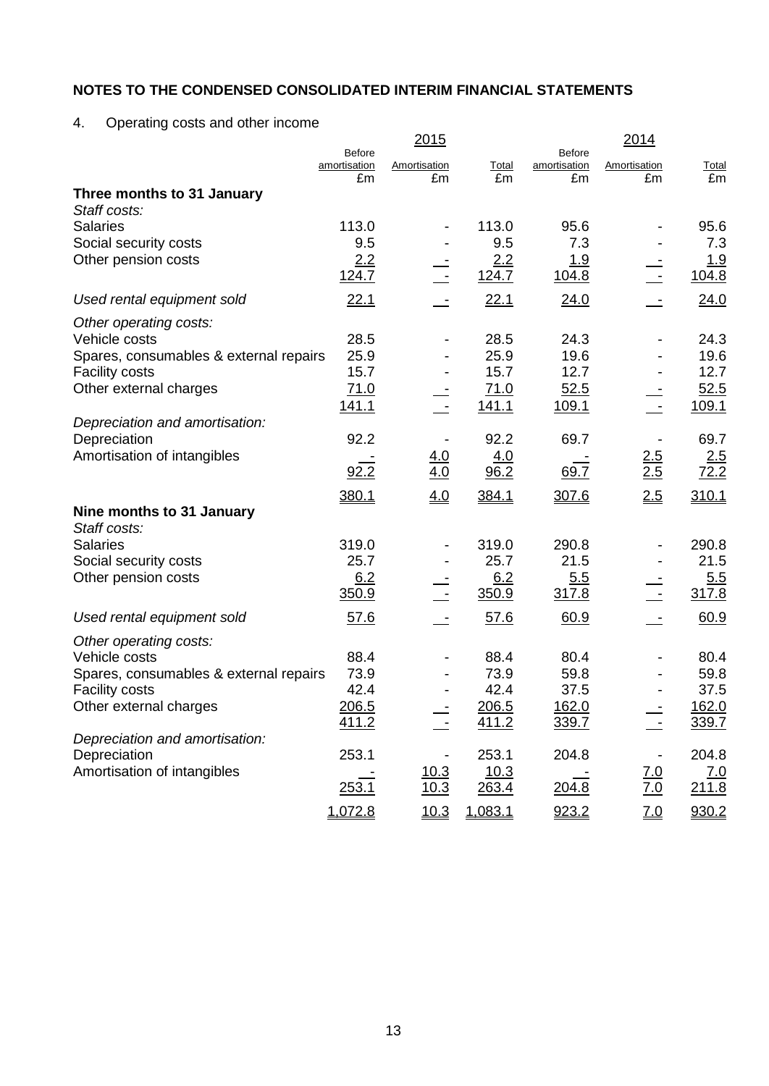4. Operating costs and other income

|                                             |                               | <u> 2015</u>      |              |                               | 2014              |              |
|---------------------------------------------|-------------------------------|-------------------|--------------|-------------------------------|-------------------|--------------|
|                                             | <b>Before</b><br>amortisation | Amortisation      | Total        | <b>Before</b><br>amortisation | Amortisation      | <b>Total</b> |
|                                             | £m                            | £m                | £m           | £m                            | £m                | £m           |
| Three months to 31 January                  |                               |                   |              |                               |                   |              |
| Staff costs:                                |                               |                   |              |                               |                   |              |
| <b>Salaries</b>                             | 113.0                         |                   | 113.0        | 95.6                          |                   | 95.6         |
| Social security costs                       | 9.5                           |                   | 9.5          | 7.3                           |                   | 7.3          |
| Other pension costs                         | 2.2<br>124.7                  |                   | 2.2<br>124.7 | <u>1.9</u><br>104.8           |                   | 1.9<br>104.8 |
| Used rental equipment sold                  | 22.1                          |                   | 22.1         | 24.0                          |                   | 24.0         |
| Other operating costs:                      |                               |                   |              |                               |                   |              |
| Vehicle costs                               | 28.5                          |                   | 28.5         | 24.3                          |                   | 24.3         |
| Spares, consumables & external repairs      | 25.9                          |                   | 25.9         | 19.6                          |                   | 19.6         |
| <b>Facility costs</b>                       | 15.7                          |                   | 15.7         | 12.7                          |                   | 12.7         |
| Other external charges                      | 71.0                          |                   | 71.0         | 52.5                          |                   | 52.5         |
|                                             | <u>141.1</u>                  |                   | 141.1        | 109.1                         |                   | 109.1        |
| Depreciation and amortisation:              | 92.2                          |                   | 92.2         | 69.7                          |                   | 69.7         |
| Depreciation<br>Amortisation of intangibles |                               |                   | 4.0          |                               | 2.5               |              |
|                                             | 92.2                          | <u>4.0</u><br>4.0 | 96.2         | 69.7                          | 2.5               | 2.5<br>72.2  |
|                                             | 380.1                         | 4.0               | 384.1        | 307.6                         | 2.5               | 310.1        |
| Nine months to 31 January                   |                               |                   |              |                               |                   |              |
| Staff costs:                                |                               |                   |              |                               |                   |              |
| <b>Salaries</b>                             | 319.0                         |                   | 319.0        | 290.8                         |                   | 290.8        |
| Social security costs                       | 25.7                          |                   | 25.7         | 21.5                          |                   | 21.5         |
| Other pension costs                         | 6.2                           |                   | 6.2          | 5.5                           |                   | 5.5          |
|                                             | 350.9                         |                   | 350.9        | 317.8                         |                   | 317.8        |
| Used rental equipment sold                  | 57.6                          |                   | 57.6         | 60.9                          |                   | 60.9         |
| Other operating costs:                      |                               |                   |              |                               |                   |              |
| Vehicle costs                               | 88.4                          |                   | 88.4         | 80.4                          |                   | 80.4         |
| Spares, consumables & external repairs      | 73.9                          |                   | 73.9         | 59.8                          |                   | 59.8         |
| <b>Facility costs</b>                       | 42.4                          |                   | 42.4         | 37.5                          |                   | 37.5         |
| Other external charges                      | 206.5                         |                   | 206.5        | 162.0                         |                   | 162.0        |
| Depreciation and amortisation:              | 411.2                         |                   | 411.2        | 339.7                         |                   | 339.7        |
| Depreciation                                | 253.1                         |                   | 253.1        | 204.8                         |                   | 204.8        |
| Amortisation of intangibles                 |                               | 10.3              | 10.3         |                               |                   | <u>7.0</u>   |
|                                             | 253.1                         | 10.3              | 263.4        | 204.8                         | $\frac{7.0}{7.0}$ | 211.8        |
|                                             | 1,072.8                       | 10.3              | 1,083.1      | 923.2                         | $\underline{7.0}$ | 930.2        |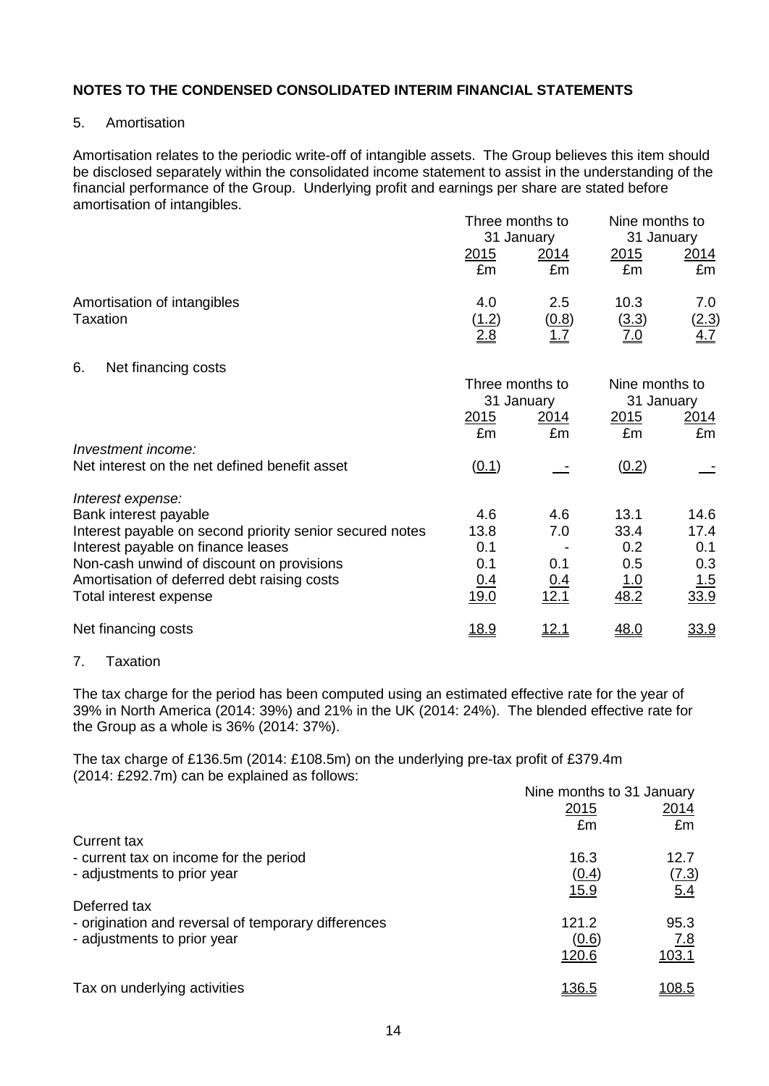### 5. Amortisation

Amortisation relates to the periodic write-off of intangible assets. The Group believes this item should be disclosed separately within the consolidated income statement to assist in the understanding of the financial performance of the Group. Underlying profit and earnings per share are stated before amortisation of intangibles.

|                                                                       |                     | Three months to<br>31 January |                              | Nine months to<br>31 January      |  |
|-----------------------------------------------------------------------|---------------------|-------------------------------|------------------------------|-----------------------------------|--|
|                                                                       | <u>2015</u><br>£m   | <u> 2014</u><br>£m            | <u> 2015</u><br>£m           | 2014<br>£m                        |  |
| Amortisation of intangibles<br>Taxation                               | 4.0<br>(1.2)<br>2.8 | 2.5<br>(0.8)<br><u> 1.7</u>   | 10.3<br>(3.3)<br><u>7.0</u>  | 7.0<br><u>(2.3)</u><br><u>4.7</u> |  |
| Net financing costs<br>6.                                             |                     |                               |                              |                                   |  |
|                                                                       | Three months to     | 31 January                    | Nine months to<br>31 January |                                   |  |
|                                                                       | 2015<br>£m          | <u> 2014 </u><br>£m           | 2015<br>£m                   | 2014<br>£m                        |  |
| Investment income:                                                    |                     |                               |                              |                                   |  |
| Net interest on the net defined benefit asset                         | (0.1)               |                               | (0.2)                        |                                   |  |
| Interest expense:                                                     |                     |                               |                              |                                   |  |
| Bank interest payable                                                 | 4.6                 | 4.6                           | 13.1                         | 14.6                              |  |
| Interest payable on second priority senior secured notes              | 13.8                | 7.0                           | 33.4                         | 17.4                              |  |
| Interest payable on finance leases                                    | 0.1                 |                               | 0.2                          | 0.1                               |  |
| Non-cash unwind of discount on provisions                             | 0.1                 | 0.1                           | 0.5                          | 0.3                               |  |
| Amortisation of deferred debt raising costs<br>Total interest expense | 0.4<br>19.0         | <u>0.4</u><br>12.1            | <u> 1.0</u><br>48.2          | <u>1.5</u><br>33.9                |  |
| Net financing costs                                                   | <u>18.9</u>         | <u> 12.1</u>                  | 48.0                         | 33.9                              |  |

## 7. Taxation

The tax charge for the period has been computed using an estimated effective rate for the year of 39% in North America (2014: 39%) and 21% in the UK (2014: 24%). The blended effective rate for the Group as a whole is 36% (2014: 37%).

The tax charge of £136.5m (2014: £108.5m) on the underlying pre-tax profit of £379.4m (2014: £292.7m) can be explained as follows:

|                                                     | Nine months to 31 January |               |
|-----------------------------------------------------|---------------------------|---------------|
|                                                     | 2015                      | <u>2014</u>   |
|                                                     | £m                        | £m            |
| Current tax                                         |                           |               |
| - current tax on income for the period              | 16.3                      | 12.7          |
| - adjustments to prior year                         | (0.4)                     | <u>(7.3)</u>  |
|                                                     | <u>15.9</u>               | 5.4           |
| Deferred tax                                        |                           |               |
| - origination and reversal of temporary differences | 121.2                     | 95.3          |
| - adjustments to prior year                         | (0.6)                     | 7.8           |
|                                                     | 120.6                     | 103.1         |
|                                                     |                           |               |
| Tax on underlying activities                        | <u> 136.5</u>             | <u> 108.5</u> |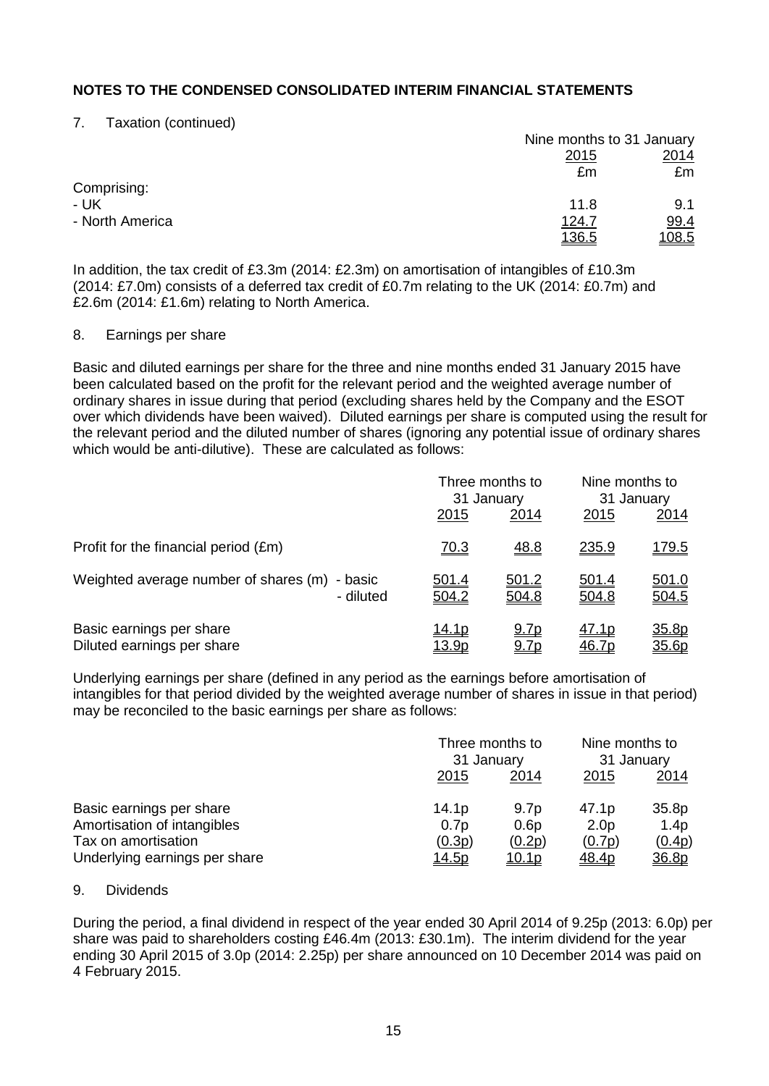7. Taxation (continued)

|                 |              | Nine months to 31 January |
|-----------------|--------------|---------------------------|
|                 | <u>2015</u>  | 2014                      |
|                 | £m           | £m                        |
| Comprising:     |              |                           |
| - UK            | 11.8         | 9.1                       |
| - North America | 124.7        | 99.4                      |
|                 | <u>136.5</u> | <u>108.5</u>              |

In addition, the tax credit of £3.3m (2014: £2.3m) on amortisation of intangibles of £10.3m (2014: £7.0m) consists of a deferred tax credit of £0.7m relating to the UK (2014: £0.7m) and £2.6m (2014: £1.6m) relating to North America.

### 8. Earnings per share

Basic and diluted earnings per share for the three and nine months ended 31 January 2015 have been calculated based on the profit for the relevant period and the weighted average number of ordinary shares in issue during that period (excluding shares held by the Company and the ESOT over which dividends have been waived). Diluted earnings per share is computed using the result for the relevant period and the diluted number of shares (ignoring any potential issue of ordinary shares which would be anti-dilutive). These are calculated as follows:

|                                                               |                               | Three months to<br>31 January |                       | Nine months to<br>31 January |  |
|---------------------------------------------------------------|-------------------------------|-------------------------------|-----------------------|------------------------------|--|
|                                                               | 2015                          | <u>2014</u>                   | 2015                  | <u> 2014</u>                 |  |
| Profit for the financial period (£m)                          | <u>70.3</u>                   | <u>48.8</u>                   | 235.9                 | <u> 179.5</u>                |  |
| Weighted average number of shares (m)<br>- basic<br>- diluted | <u>501.4</u><br>504.2         | 501.2<br>504.8                | <u>501.4</u><br>504.8 | 501.0<br>504.5               |  |
| Basic earnings per share<br>Diluted earnings per share        | <u>14.1p</u><br><u> 13.9p</u> | <u>9.7p</u><br><u>9.7p</u>    | <u>47.1p</u><br>46.7p | 35.8p<br>35.6p               |  |

Underlying earnings per share (defined in any period as the earnings before amortisation of intangibles for that period divided by the weighted average number of shares in issue in that period) may be reconciled to the basic earnings per share as follows:

|                               |                   | Three months to<br>31 January |                  | Nine months to<br>31 January |  |
|-------------------------------|-------------------|-------------------------------|------------------|------------------------------|--|
|                               | 2015              | 2015<br>2014                  |                  | 2014                         |  |
| Basic earnings per share      | 14.1 <sub>p</sub> | 9.7 <sub>p</sub>              | 47.1p            | 35.8p                        |  |
| Amortisation of intangibles   | 0.7p              | 0.6p                          | 2.0 <sub>p</sub> | 1.4p                         |  |
| Tax on amortisation           | (0.3p)            | (0.2p)                        | (0.7p)           | (0.4p)                       |  |
| Underlying earnings per share | <u> 14.5p</u>     | <u> 10.1p</u>                 | <u>48.4p</u>     | <u>36.8p</u>                 |  |

## 9. Dividends

During the period, a final dividend in respect of the year ended 30 April 2014 of 9.25p (2013: 6.0p) per share was paid to shareholders costing £46.4m (2013: £30.1m). The interim dividend for the year ending 30 April 2015 of 3.0p (2014: 2.25p) per share announced on 10 December 2014 was paid on 4 February 2015.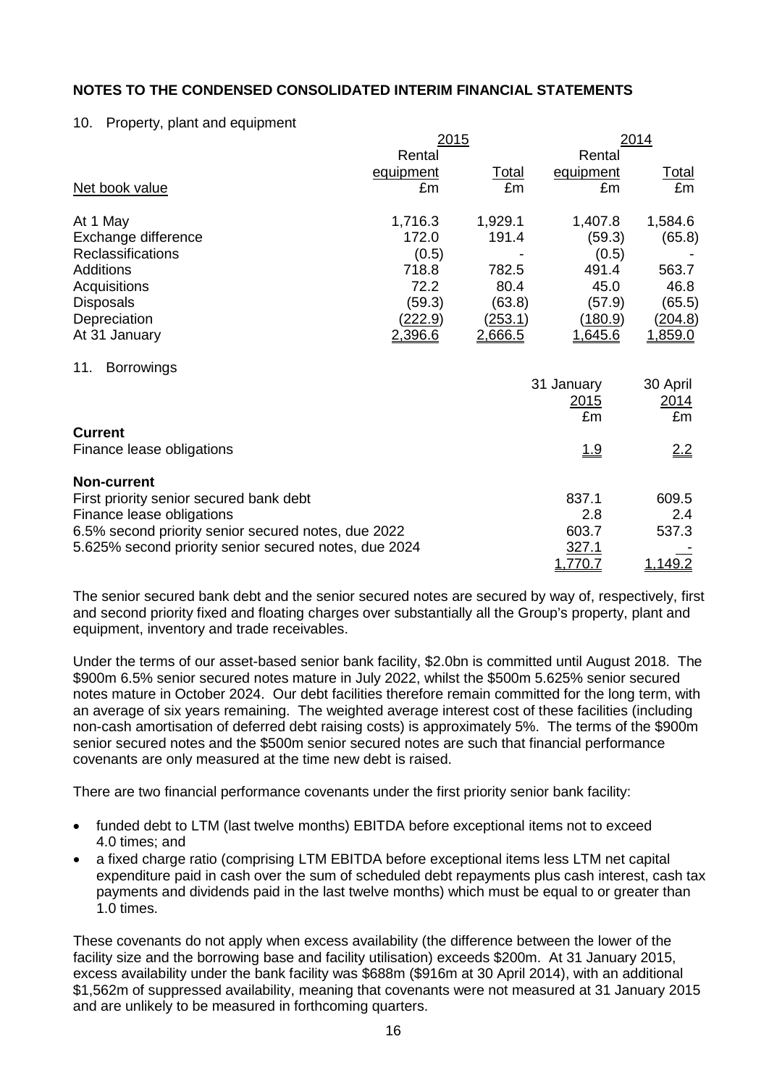### 10. Property, plant and equipment

|                                                       | 2015           |                |                | 2014           |  |
|-------------------------------------------------------|----------------|----------------|----------------|----------------|--|
|                                                       | Rental         |                | Rental         |                |  |
|                                                       | equipment      | Total          | equipment      | <u>Total</u>   |  |
| Net book value                                        | £m             | £m             | £m             | £m             |  |
| At 1 May                                              | 1,716.3        | 1,929.1        | 1,407.8        | 1,584.6        |  |
| Exchange difference                                   | 172.0          | 191.4          | (59.3)         | (65.8)         |  |
| Reclassifications                                     | (0.5)          |                | (0.5)          |                |  |
| <b>Additions</b>                                      | 718.8          | 782.5          | 491.4          | 563.7          |  |
| Acquisitions                                          | 72.2           | 80.4           | 45.0           | 46.8           |  |
| <b>Disposals</b>                                      | (59.3)         | (63.8)         | (57.9)         | (65.5)         |  |
| Depreciation                                          | <u>(222.9)</u> | <u>(253.1)</u> | <u>(180.9)</u> | <u>(204.8)</u> |  |
| At 31 January                                         | <u>2,396.6</u> | 2,666.5        | 1,645.6        | <u>1,859.0</u> |  |
| <b>Borrowings</b><br>11.                              |                |                |                |                |  |
|                                                       |                |                | 31 January     | 30 April       |  |
|                                                       |                |                | <u>2015</u>    | <u>2014</u>    |  |
|                                                       |                |                | £m             | £m             |  |
| <b>Current</b>                                        |                |                |                |                |  |
| Finance lease obligations                             |                |                | <u> 1.9</u>    | <u>2.2</u>     |  |
| <b>Non-current</b>                                    |                |                |                |                |  |
| First priority senior secured bank debt               |                |                | 837.1          | 609.5          |  |
| Finance lease obligations                             |                |                | 2.8            | 2.4            |  |
| 6.5% second priority senior secured notes, due 2022   |                |                | 603.7          | 537.3          |  |
| 5.625% second priority senior secured notes, due 2024 |                |                | 327.1          |                |  |
|                                                       |                |                | 1.770.7        | 1.149.2        |  |

The senior secured bank debt and the senior secured notes are secured by way of, respectively, first and second priority fixed and floating charges over substantially all the Group's property, plant and equipment, inventory and trade receivables.

Under the terms of our asset-based senior bank facility, \$2.0bn is committed until August 2018. The \$900m 6.5% senior secured notes mature in July 2022, whilst the \$500m 5.625% senior secured notes mature in October 2024. Our debt facilities therefore remain committed for the long term, with an average of six years remaining. The weighted average interest cost of these facilities (including non-cash amortisation of deferred debt raising costs) is approximately 5%. The terms of the \$900m senior secured notes and the \$500m senior secured notes are such that financial performance covenants are only measured at the time new debt is raised.

There are two financial performance covenants under the first priority senior bank facility:

- funded debt to LTM (last twelve months) EBITDA before exceptional items not to exceed 4.0 times; and
- a fixed charge ratio (comprising LTM EBITDA before exceptional items less LTM net capital expenditure paid in cash over the sum of scheduled debt repayments plus cash interest, cash tax payments and dividends paid in the last twelve months) which must be equal to or greater than 1.0 times.

These covenants do not apply when excess availability (the difference between the lower of the facility size and the borrowing base and facility utilisation) exceeds \$200m. At 31 January 2015, excess availability under the bank facility was \$688m (\$916m at 30 April 2014), with an additional \$1,562m of suppressed availability, meaning that covenants were not measured at 31 January 2015 and are unlikely to be measured in forthcoming quarters.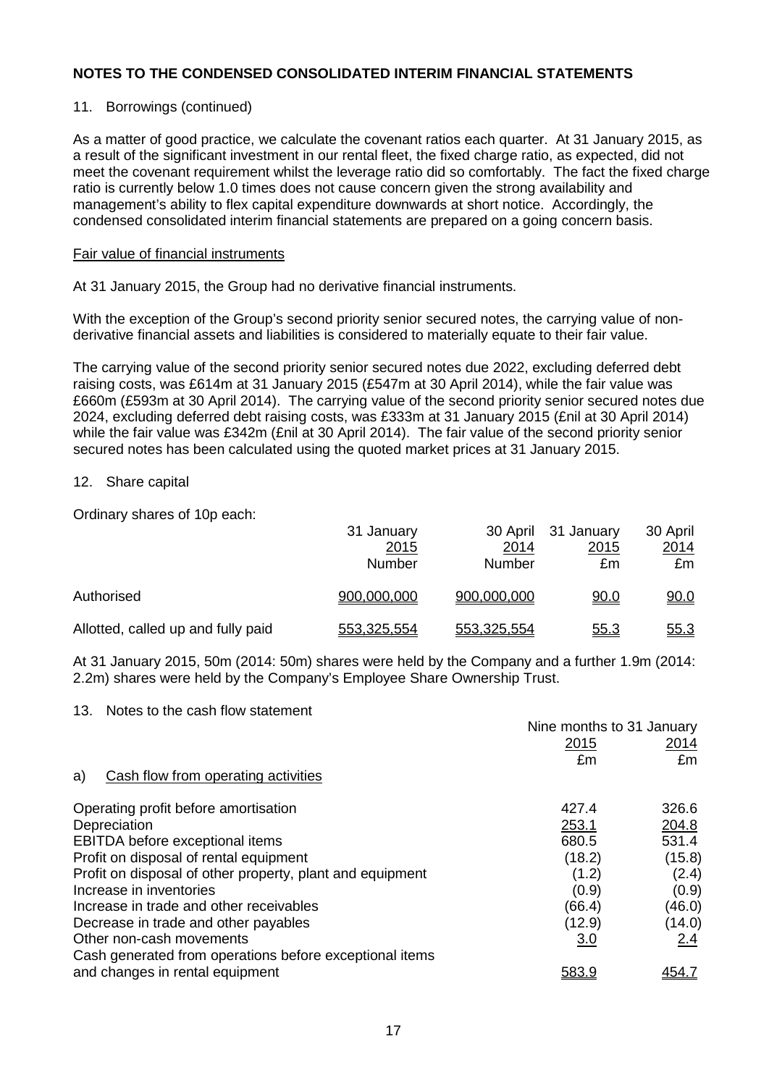# 11. Borrowings (continued)

As a matter of good practice, we calculate the covenant ratios each quarter. At 31 January 2015, as a result of the significant investment in our rental fleet, the fixed charge ratio, as expected, did not meet the covenant requirement whilst the leverage ratio did so comfortably. The fact the fixed charge ratio is currently below 1.0 times does not cause concern given the strong availability and management's ability to flex capital expenditure downwards at short notice. Accordingly, the condensed consolidated interim financial statements are prepared on a going concern basis.

### Fair value of financial instruments

At 31 January 2015, the Group had no derivative financial instruments.

With the exception of the Group's second priority senior secured notes, the carrying value of nonderivative financial assets and liabilities is considered to materially equate to their fair value.

The carrying value of the second priority senior secured notes due 2022, excluding deferred debt raising costs, was £614m at 31 January 2015 (£547m at 30 April 2014), while the fair value was £660m (£593m at 30 April 2014). The carrying value of the second priority senior secured notes due 2024, excluding deferred debt raising costs, was £333m at 31 January 2015 (£nil at 30 April 2014) while the fair value was £342m (£nil at 30 April 2014). The fair value of the second priority senior secured notes has been calculated using the quoted market prices at 31 January 2015.

### 12. Share capital

Ordinary shares of 10p each:

|                                    | 31 January<br><u>2015</u><br>Number | <u>2014</u><br>Number | 30 April 31 January<br><u>2015</u><br>£m | 30 April<br><u> 2014 </u><br>£m |
|------------------------------------|-------------------------------------|-----------------------|------------------------------------------|---------------------------------|
| Authorised                         | 900,000,000                         | 900,000,000           | <u>90.0</u>                              | 90.0                            |
| Allotted, called up and fully paid | 553,325,554                         | 553,325,554           | <u>55.3</u>                              | <u>55.3</u>                     |

At 31 January 2015, 50m (2014: 50m) shares were held by the Company and a further 1.9m (2014: 2.2m) shares were held by the Company's Employee Share Ownership Trust.

#### 13. Notes to the cash flow statement

|                                                           | Nine months to 31 January |              |  |
|-----------------------------------------------------------|---------------------------|--------------|--|
|                                                           | 2015                      | <u> 2014</u> |  |
|                                                           | £m                        | £m           |  |
| Cash flow from operating activities<br>a)                 |                           |              |  |
| Operating profit before amortisation                      | 427.4                     | 326.6        |  |
| Depreciation                                              | 253.1                     | 204.8        |  |
| EBITDA before exceptional items                           | 680.5                     | 531.4        |  |
| Profit on disposal of rental equipment                    | (18.2)                    | (15.8)       |  |
| Profit on disposal of other property, plant and equipment | (1.2)                     | (2.4)        |  |
| Increase in inventories                                   | (0.9)                     | (0.9)        |  |
| Increase in trade and other receivables                   | (66.4)                    | (46.0)       |  |
| Decrease in trade and other payables                      | (12.9)                    | (14.0)       |  |
| Other non-cash movements                                  | 3.0                       | 2.4          |  |
| Cash generated from operations before exceptional items   |                           |              |  |
| and changes in rental equipment                           | <u>583.9</u>              |              |  |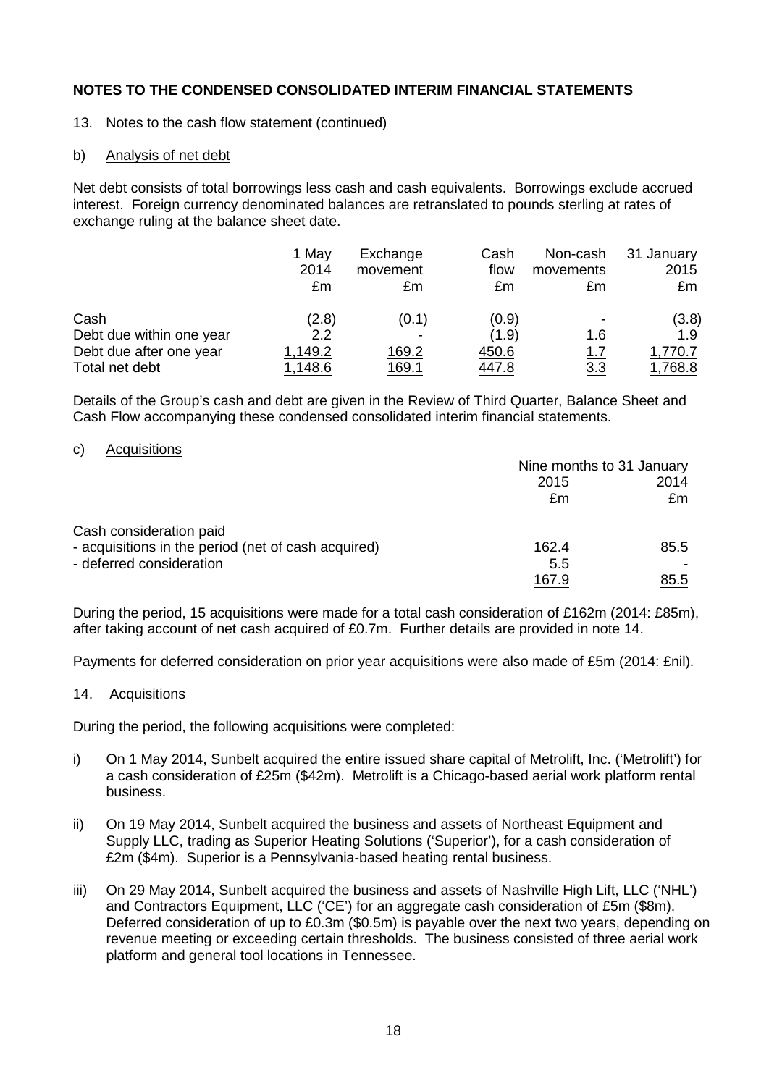- 13. Notes to the cash flow statement (continued)
- b) Analysis of net debt

Net debt consists of total borrowings less cash and cash equivalents. Borrowings exclude accrued interest. Foreign currency denominated balances are retranslated to pounds sterling at rates of exchange ruling at the balance sheet date.

|                          | 1 May<br>2014<br>£m | Exchange<br>movement<br>£m | Cash<br>flow<br>£m | Non-cash<br>movements<br>£m | 31 January<br><u>2015</u><br>£m |
|--------------------------|---------------------|----------------------------|--------------------|-----------------------------|---------------------------------|
| Cash                     | (2.8)               | (0.1)                      | (0.9)              |                             | (3.8)                           |
| Debt due within one year | 2.2                 | $\overline{\phantom{0}}$   | (1.9)              | 1.6                         | 1.9                             |
| Debt due after one year  | 1,149.2             | 169.2                      | 450.6              | <u>1.7</u>                  | ,770.7                          |
| Total net debt           | 1,148.6             | <u> 169.1</u>              | 447.8              | <u>3.3</u>                  | <u>1,768.8</u>                  |

Details of the Group's cash and debt are given in the Review of Third Quarter, Balance Sheet and Cash Flow accompanying these condensed consolidated interim financial statements.

### c) Acquisitions

|                                                     | Nine months to 31 January |             |  |
|-----------------------------------------------------|---------------------------|-------------|--|
|                                                     | 2015                      | 2014        |  |
|                                                     | £m                        | £m          |  |
| Cash consideration paid                             |                           |             |  |
| - acquisitions in the period (net of cash acquired) | 162.4                     | 85.5        |  |
| - deferred consideration                            | <u>5.5</u>                |             |  |
|                                                     | 167.9                     | <u>85.5</u> |  |

During the period, 15 acquisitions were made for a total cash consideration of £162m (2014: £85m), after taking account of net cash acquired of £0.7m. Further details are provided in note 14.

Payments for deferred consideration on prior year acquisitions were also made of £5m (2014: £nil).

#### 14. Acquisitions

During the period, the following acquisitions were completed:

- i) On 1 May 2014, Sunbelt acquired the entire issued share capital of Metrolift, Inc. ('Metrolift') for a cash consideration of £25m (\$42m). Metrolift is a Chicago-based aerial work platform rental business.
- ii) On 19 May 2014, Sunbelt acquired the business and assets of Northeast Equipment and Supply LLC, trading as Superior Heating Solutions ('Superior'), for a cash consideration of £2m (\$4m). Superior is a Pennsylvania-based heating rental business.
- iii) On 29 May 2014, Sunbelt acquired the business and assets of Nashville High Lift, LLC ('NHL') and Contractors Equipment, LLC ('CE') for an aggregate cash consideration of £5m (\$8m). Deferred consideration of up to £0.3m (\$0.5m) is payable over the next two years, depending on revenue meeting or exceeding certain thresholds. The business consisted of three aerial work platform and general tool locations in Tennessee.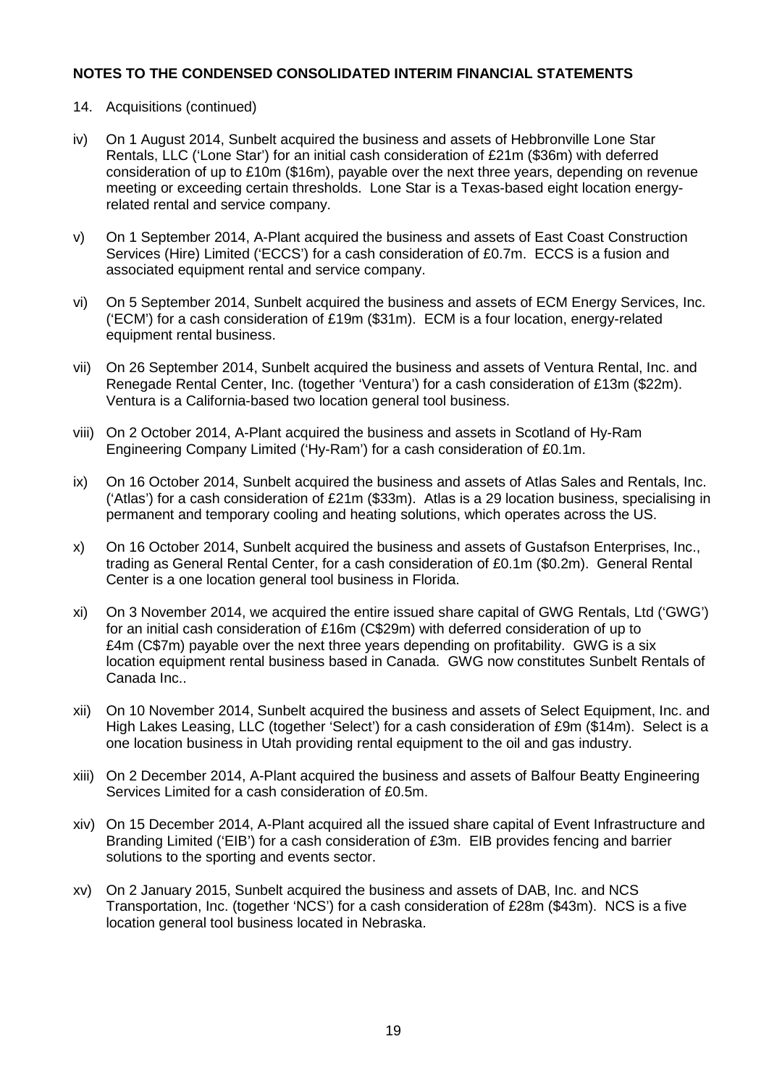# 14. Acquisitions (continued)

- iv) On 1 August 2014, Sunbelt acquired the business and assets of Hebbronville Lone Star Rentals, LLC ('Lone Star') for an initial cash consideration of £21m (\$36m) with deferred consideration of up to £10m (\$16m), payable over the next three years, depending on revenue meeting or exceeding certain thresholds. Lone Star is a Texas-based eight location energyrelated rental and service company.
- v) On 1 September 2014, A-Plant acquired the business and assets of East Coast Construction Services (Hire) Limited ('ECCS') for a cash consideration of £0.7m. ECCS is a fusion and associated equipment rental and service company.
- vi) On 5 September 2014, Sunbelt acquired the business and assets of ECM Energy Services, Inc. ('ECM') for a cash consideration of £19m (\$31m). ECM is a four location, energy-related equipment rental business.
- vii) On 26 September 2014, Sunbelt acquired the business and assets of Ventura Rental, Inc. and Renegade Rental Center, Inc. (together 'Ventura') for a cash consideration of £13m (\$22m). Ventura is a California-based two location general tool business.
- viii) On 2 October 2014, A-Plant acquired the business and assets in Scotland of Hy-Ram Engineering Company Limited ('Hy-Ram') for a cash consideration of £0.1m.
- ix) On 16 October 2014, Sunbelt acquired the business and assets of Atlas Sales and Rentals, Inc. ('Atlas') for a cash consideration of £21m (\$33m). Atlas is a 29 location business, specialising in permanent and temporary cooling and heating solutions, which operates across the US.
- x) On 16 October 2014, Sunbelt acquired the business and assets of Gustafson Enterprises, Inc., trading as General Rental Center, for a cash consideration of £0.1m (\$0.2m). General Rental Center is a one location general tool business in Florida.
- xi) On 3 November 2014, we acquired the entire issued share capital of GWG Rentals, Ltd ('GWG') for an initial cash consideration of £16m (C\$29m) with deferred consideration of up to £4m (C\$7m) payable over the next three years depending on profitability. GWG is a six location equipment rental business based in Canada. GWG now constitutes Sunbelt Rentals of Canada Inc..
- xii) On 10 November 2014, Sunbelt acquired the business and assets of Select Equipment, Inc. and High Lakes Leasing, LLC (together 'Select') for a cash consideration of £9m (\$14m). Select is a one location business in Utah providing rental equipment to the oil and gas industry.
- xiii) On 2 December 2014, A-Plant acquired the business and assets of Balfour Beatty Engineering Services Limited for a cash consideration of £0.5m.
- xiv) On 15 December 2014, A-Plant acquired all the issued share capital of Event Infrastructure and Branding Limited ('EIB') for a cash consideration of £3m. EIB provides fencing and barrier solutions to the sporting and events sector.
- xv) On 2 January 2015, Sunbelt acquired the business and assets of DAB, Inc. and NCS Transportation, Inc. (together 'NCS') for a cash consideration of £28m (\$43m). NCS is a five location general tool business located in Nebraska.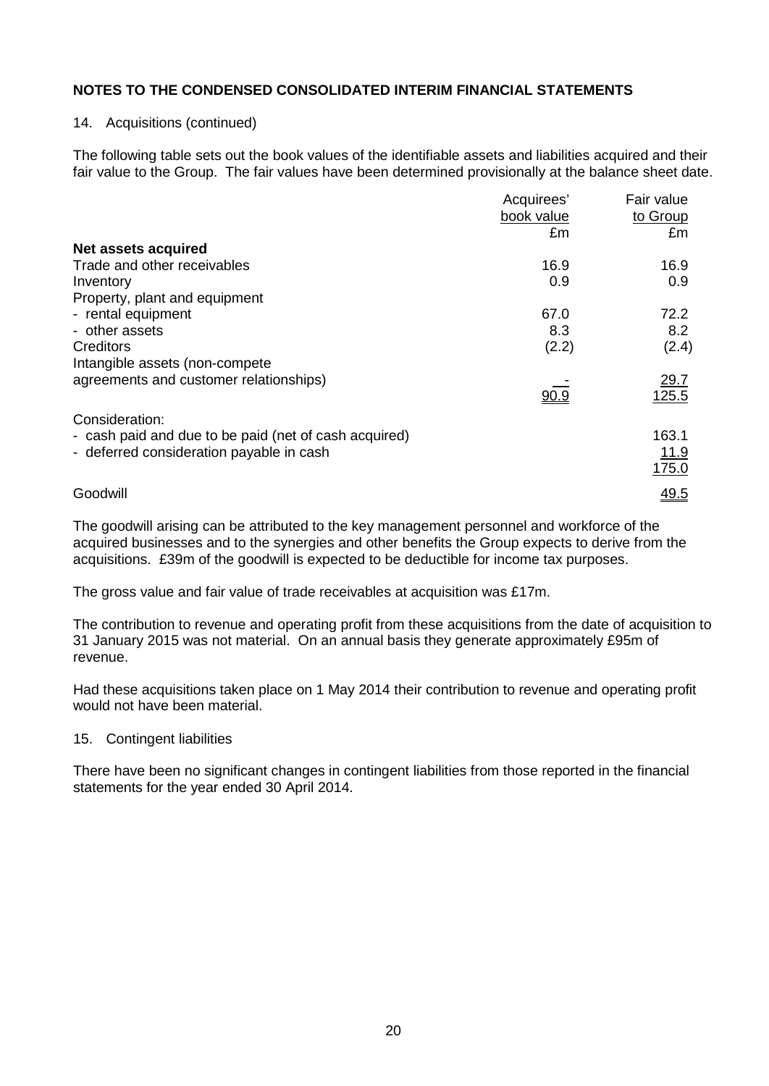#### 14. Acquisitions (continued)

The following table sets out the book values of the identifiable assets and liabilities acquired and their fair value to the Group. The fair values have been determined provisionally at the balance sheet date.

|                                                       | Acquirees' | Fair value           |
|-------------------------------------------------------|------------|----------------------|
|                                                       | book value | to Group             |
|                                                       | £m         | £m                   |
| Net assets acquired                                   |            |                      |
| Trade and other receivables                           | 16.9       | 16.9                 |
| Inventory                                             | 0.9        | 0.9                  |
| Property, plant and equipment                         |            |                      |
| - rental equipment                                    | 67.0       | 72.2                 |
| - other assets                                        | 8.3        | 8.2                  |
| Creditors                                             | (2.2)      | (2.4)                |
| Intangible assets (non-compete)                       |            |                      |
| agreements and customer relationships)                |            |                      |
|                                                       | 90.9       | $\frac{29.7}{125.5}$ |
| Consideration:                                        |            |                      |
| - cash paid and due to be paid (net of cash acquired) |            | 163.1                |
| - deferred consideration payable in cash              |            | <u>11.9</u>          |
|                                                       |            | 175.0                |
|                                                       |            |                      |
| Goodwill                                              |            | 49.5                 |

The goodwill arising can be attributed to the key management personnel and workforce of the acquired businesses and to the synergies and other benefits the Group expects to derive from the acquisitions. £39m of the goodwill is expected to be deductible for income tax purposes.

The gross value and fair value of trade receivables at acquisition was £17m.

The contribution to revenue and operating profit from these acquisitions from the date of acquisition to 31 January 2015 was not material. On an annual basis they generate approximately £95m of revenue.

Had these acquisitions taken place on 1 May 2014 their contribution to revenue and operating profit would not have been material.

#### 15. Contingent liabilities

There have been no significant changes in contingent liabilities from those reported in the financial statements for the year ended 30 April 2014.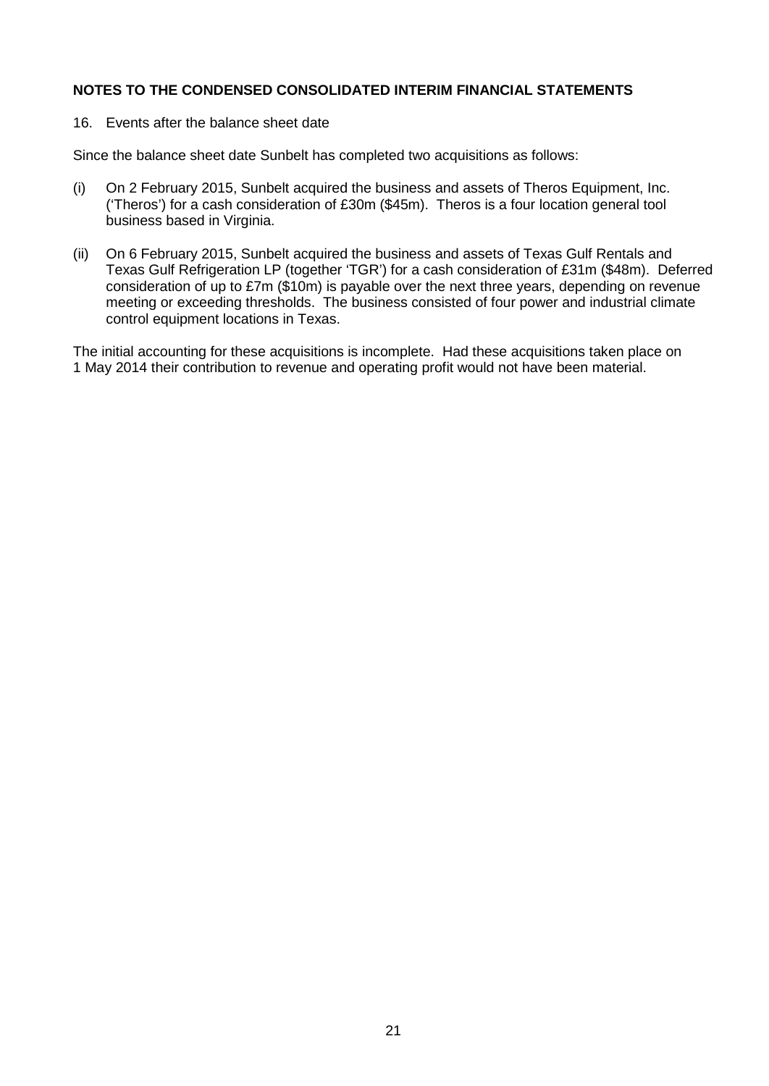16. Events after the balance sheet date

Since the balance sheet date Sunbelt has completed two acquisitions as follows:

- (i) On 2 February 2015, Sunbelt acquired the business and assets of Theros Equipment, Inc. ('Theros') for a cash consideration of £30m (\$45m). Theros is a four location general tool business based in Virginia.
- (ii) On 6 February 2015, Sunbelt acquired the business and assets of Texas Gulf Rentals and Texas Gulf Refrigeration LP (together 'TGR') for a cash consideration of £31m (\$48m). Deferred consideration of up to £7m (\$10m) is payable over the next three years, depending on revenue meeting or exceeding thresholds. The business consisted of four power and industrial climate control equipment locations in Texas.

The initial accounting for these acquisitions is incomplete. Had these acquisitions taken place on 1 May 2014 their contribution to revenue and operating profit would not have been material.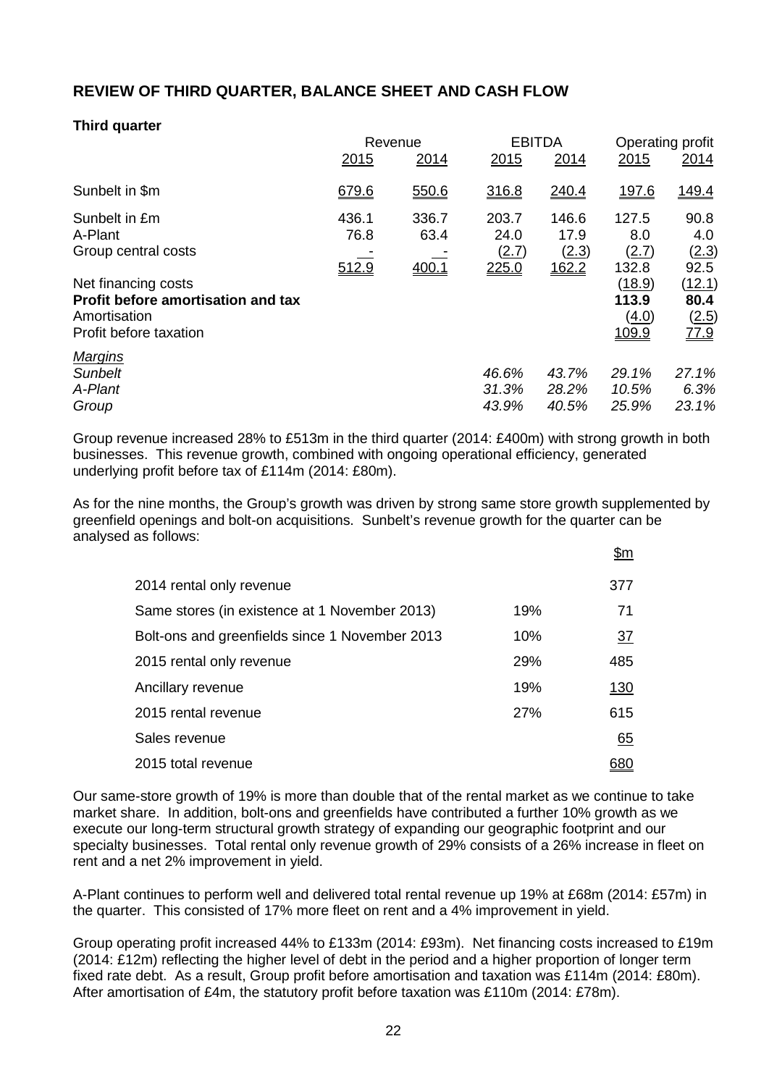# **REVIEW OF THIRD QUARTER, BALANCE SHEET AND CASH FLOW**

# **Third quarter**

|                                                                                                     | Revenue                |                        |                                 | <b>EBITDA</b>                   |                                   | Operating profit                              |
|-----------------------------------------------------------------------------------------------------|------------------------|------------------------|---------------------------------|---------------------------------|-----------------------------------|-----------------------------------------------|
|                                                                                                     | 2015                   | 2014                   | 2015                            | 2014                            | 2015                              | 2014                                          |
| Sunbelt in \$m                                                                                      | 679.6                  | 550.6                  | 316.8                           | 240.4                           | <u>197.6</u>                      | 149.4                                         |
| Sunbelt in £m<br>A-Plant<br>Group central costs                                                     | 436.1<br>76.8<br>512.9 | 336.7<br>63.4<br>400.1 | 203.7<br>24.0<br>(2.7)<br>225.0 | 146.6<br>17.9<br>(2.3)<br>162.2 | 127.5<br>8.0<br>(2.7)<br>132.8    | 90.8<br>4.0<br>(2.3)<br>92.5                  |
| Net financing costs<br>Profit before amortisation and tax<br>Amortisation<br>Profit before taxation |                        |                        |                                 |                                 | (18.9)<br>113.9<br>(4.0)<br>109.9 | (12.1)<br>80.4<br>(2.5)<br>$\underline{77.9}$ |
| <b>Margins</b><br><b>Sunbelt</b><br>A-Plant<br>Group                                                |                        |                        | 46.6%<br>31.3%<br>43.9%         | 43.7%<br>28.2%<br>40.5%         | 29.1%<br>10.5%<br>25.9%           | 27.1%<br>6.3%<br>23.1%                        |

Group revenue increased 28% to £513m in the third quarter (2014: £400m) with strong growth in both businesses. This revenue growth, combined with ongoing operational efficiency, generated underlying profit before tax of £114m (2014: £80m).

As for the nine months, the Group's growth was driven by strong same store growth supplemented by greenfield openings and bolt-on acquisitions. Sunbelt's revenue growth for the quarter can be analysed as follows:

 $\theta$ m

|                                                |     | <u>וווע</u>     |
|------------------------------------------------|-----|-----------------|
| 2014 rental only revenue                       |     | 377             |
| Same stores (in existence at 1 November 2013)  | 19% | 71              |
| Bolt-ons and greenfields since 1 November 2013 | 10% | $\overline{37}$ |
| 2015 rental only revenue                       | 29% | 485             |
| Ancillary revenue                              | 19% | <u>130</u>      |
| 2015 rental revenue                            | 27% | 615             |
| Sales revenue                                  |     | 65              |
| 2015 total revenue                             |     | 380             |

Our same-store growth of 19% is more than double that of the rental market as we continue to take market share. In addition, bolt-ons and greenfields have contributed a further 10% growth as we execute our long-term structural growth strategy of expanding our geographic footprint and our specialty businesses. Total rental only revenue growth of 29% consists of a 26% increase in fleet on rent and a net 2% improvement in yield.

A-Plant continues to perform well and delivered total rental revenue up 19% at £68m (2014: £57m) in the quarter. This consisted of 17% more fleet on rent and a 4% improvement in yield.

Group operating profit increased 44% to £133m (2014: £93m). Net financing costs increased to £19m (2014: £12m) reflecting the higher level of debt in the period and a higher proportion of longer term fixed rate debt. As a result, Group profit before amortisation and taxation was £114m (2014: £80m). After amortisation of £4m, the statutory profit before taxation was £110m (2014: £78m).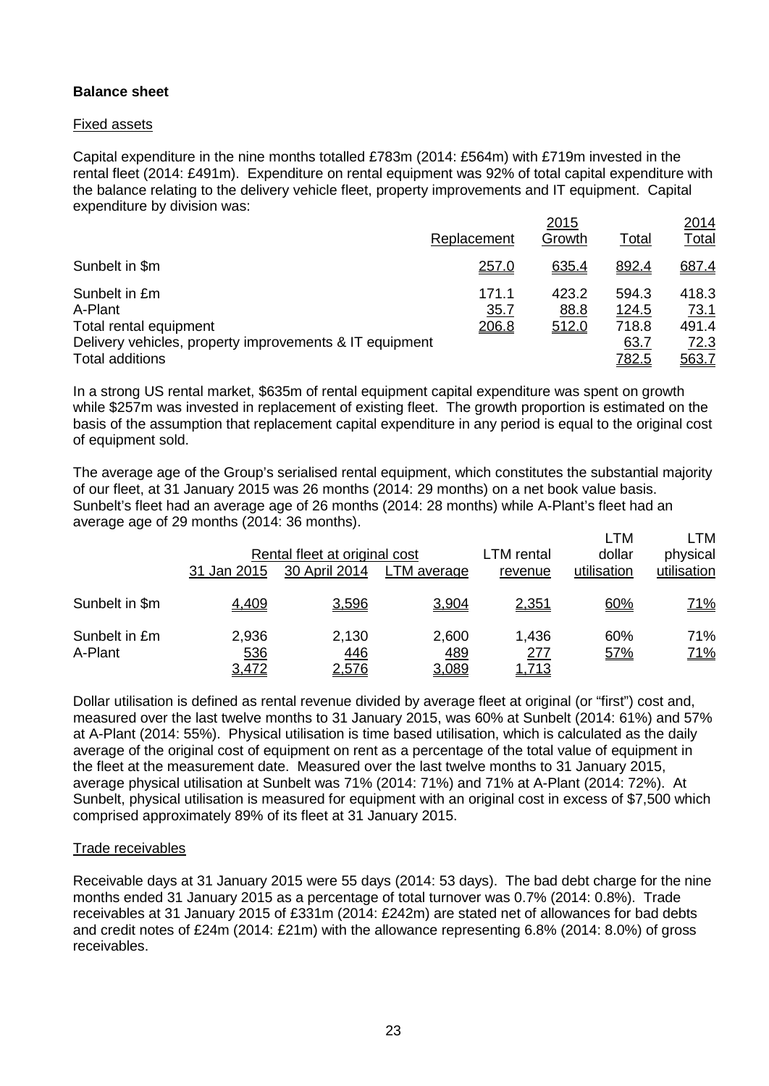# **Balance sheet**

## Fixed assets

Capital expenditure in the nine months totalled £783m (2014: £564m) with £719m invested in the rental fleet (2014: £491m). Expenditure on rental equipment was 92% of total capital expenditure with the balance relating to the delivery vehicle fleet, property improvements and IT equipment. Capital expenditure by division was:

|                                                         |               | 2015          |                | 2014                 |
|---------------------------------------------------------|---------------|---------------|----------------|----------------------|
|                                                         | Replacement   | Growth        | Total          | <u>Total</u>         |
| Sunbelt in \$m                                          | 257.0         | 635.4         | 892.4          | 687.4                |
| Sunbelt in £m<br>A-Plant                                | 171.1<br>35.7 | 423.2<br>88.8 | 594.3<br>124.5 | 418.3<br><u>73.1</u> |
| Total rental equipment                                  | <u> 206.8</u> | 512.0         | 718.8          | 491.4                |
| Delivery vehicles, property improvements & IT equipment |               |               | 63.7           | 72.3                 |
| Total additions                                         |               |               | <u>782.5</u>   | 563.Z                |

In a strong US rental market, \$635m of rental equipment capital expenditure was spent on growth while \$257m was invested in replacement of existing fleet. The growth proportion is estimated on the basis of the assumption that replacement capital expenditure in any period is equal to the original cost of equipment sold.

The average age of the Group's serialised rental equipment, which constitutes the substantial majority of our fleet, at 31 January 2015 was 26 months (2014: 29 months) on a net book value basis. Sunbelt's fleet had an average age of 26 months (2014: 28 months) while A-Plant's fleet had an average age of 29 months (2014: 36 months). LTM LTM

|                          | 31 Jan 2015           | Rental fleet at original cost<br>30 April 2014 | LTM average           | LTM rental<br>revenue        | <b>LIVI</b><br>dollar<br>utilisation | <b>LIVI</b><br>physical<br>utilisation |
|--------------------------|-----------------------|------------------------------------------------|-----------------------|------------------------------|--------------------------------------|----------------------------------------|
| Sunbelt in \$m           | 4,409                 | 3,596                                          | 3,904                 | <u>2,351</u>                 | 60%                                  | <u>71%</u>                             |
| Sunbelt in £m<br>A-Plant | 2,936<br>536<br>3,472 | 2,130<br><u>446</u><br><u>2,576</u>            | 2,600<br>489<br>3,089 | 1,436<br>277<br><u>1,713</u> | 60%<br>57%                           | 71%<br><u>71%</u>                      |

Dollar utilisation is defined as rental revenue divided by average fleet at original (or "first") cost and, measured over the last twelve months to 31 January 2015, was 60% at Sunbelt (2014: 61%) and 57% at A-Plant (2014: 55%). Physical utilisation is time based utilisation, which is calculated as the daily average of the original cost of equipment on rent as a percentage of the total value of equipment in the fleet at the measurement date. Measured over the last twelve months to 31 January 2015, average physical utilisation at Sunbelt was 71% (2014: 71%) and 71% at A-Plant (2014: 72%). At Sunbelt, physical utilisation is measured for equipment with an original cost in excess of \$7,500 which comprised approximately 89% of its fleet at 31 January 2015.

## Trade receivables

Receivable days at 31 January 2015 were 55 days (2014: 53 days). The bad debt charge for the nine months ended 31 January 2015 as a percentage of total turnover was 0.7% (2014: 0.8%). Trade receivables at 31 January 2015 of £331m (2014: £242m) are stated net of allowances for bad debts and credit notes of £24m (2014: £21m) with the allowance representing 6.8% (2014: 8.0%) of gross receivables.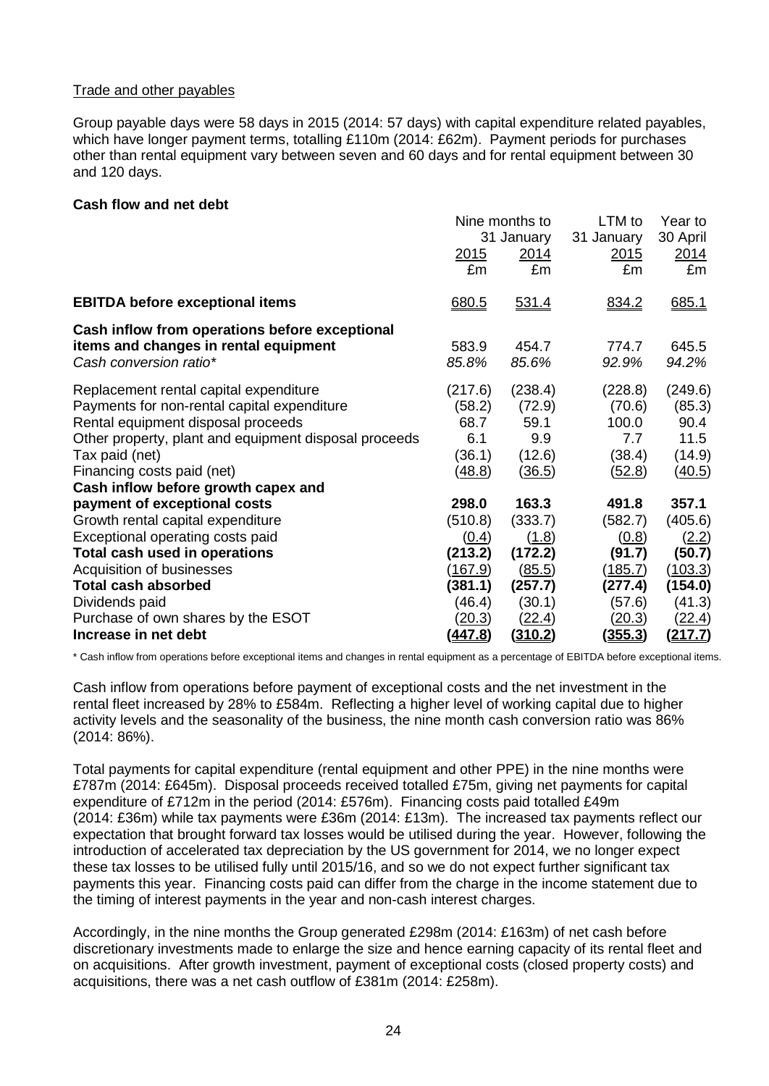# Trade and other payables

Group payable days were 58 days in 2015 (2014: 57 days) with capital expenditure related payables, which have longer payment terms, totalling £110m (2014: £62m). Payment periods for purchases other than rental equipment vary between seven and 60 days and for rental equipment between 30 and 120 days.

## **Cash flow and net debt**

|                                                       | Nine months to |                | LTM to         | Year to        |
|-------------------------------------------------------|----------------|----------------|----------------|----------------|
|                                                       |                | 31 January     | 31 January     | 30 April       |
|                                                       | <u> 2015</u>   | 2014           | 2015           | <u>2014</u>    |
|                                                       | £m             | £m             | £m             | £m             |
| <b>EBITDA before exceptional items</b>                | 680.5          | 531.4          | 834.2          | 685.1          |
| Cash inflow from operations before exceptional        |                |                |                |                |
| items and changes in rental equipment                 | 583.9          | 454.7          | 774.7          | 645.5          |
| Cash conversion ratio*                                | 85.8%          | 85.6%          | 92.9%          | 94.2%          |
| Replacement rental capital expenditure                | (217.6)        | (238.4)        | (228.8)        | (249.6)        |
| Payments for non-rental capital expenditure           | (58.2)         | (72.9)         | (70.6)         | (85.3)         |
| Rental equipment disposal proceeds                    | 68.7           | 59.1           | 100.0          | 90.4           |
| Other property, plant and equipment disposal proceeds | 6.1            | 9.9            | 7.7            | 11.5           |
| Tax paid (net)                                        | (36.1)         | (12.6)         | (38.4)         | (14.9)         |
| Financing costs paid (net)                            | (48.8)         | (36.5)         | <u>(52.8)</u>  | (40.5)         |
| Cash inflow before growth capex and                   |                |                |                |                |
| payment of exceptional costs                          | 298.0          | 163.3          | 491.8          | 357.1          |
| Growth rental capital expenditure                     | (510.8)        | (333.7)        | (582.7)        | (405.6)        |
| Exceptional operating costs paid                      | (0.4)          | (1.8)          | (0.8)          | (2.2)          |
| Total cash used in operations                         | (213.2)        | (172.2)        | (91.7)         | (50.7)         |
| Acquisition of businesses                             | (167.9)        | <u>(85.5)</u>  | (185.7)        | (103.3)        |
| <b>Total cash absorbed</b>                            | (381.1)        | (257.7)        | (277.4)        | (154.0)        |
| Dividends paid                                        | (46.4)         | (30.1)         | (57.6)         | (41.3)         |
| Purchase of own shares by the ESOT                    | (20.3)         | (22.4)         | (20.3)         | <u>(22.4)</u>  |
| Increase in net debt                                  | <u>(447.8)</u> | <u>(310.2)</u> | <u>(355.3)</u> | <u>(217.7)</u> |

\* Cash inflow from operations before exceptional items and changes in rental equipment as a percentage of EBITDA before exceptional items.

Cash inflow from operations before payment of exceptional costs and the net investment in the rental fleet increased by 28% to £584m. Reflecting a higher level of working capital due to higher activity levels and the seasonality of the business, the nine month cash conversion ratio was 86% (2014: 86%).

Total payments for capital expenditure (rental equipment and other PPE) in the nine months were £787m (2014: £645m). Disposal proceeds received totalled £75m, giving net payments for capital expenditure of £712m in the period (2014: £576m). Financing costs paid totalled £49m (2014: £36m) while tax payments were £36m (2014: £13m). The increased tax payments reflect our expectation that brought forward tax losses would be utilised during the year. However, following the introduction of accelerated tax depreciation by the US government for 2014, we no longer expect these tax losses to be utilised fully until 2015/16, and so we do not expect further significant tax payments this year. Financing costs paid can differ from the charge in the income statement due to the timing of interest payments in the year and non-cash interest charges.

Accordingly, in the nine months the Group generated £298m (2014: £163m) of net cash before discretionary investments made to enlarge the size and hence earning capacity of its rental fleet and on acquisitions. After growth investment, payment of exceptional costs (closed property costs) and acquisitions, there was a net cash outflow of £381m (2014: £258m).